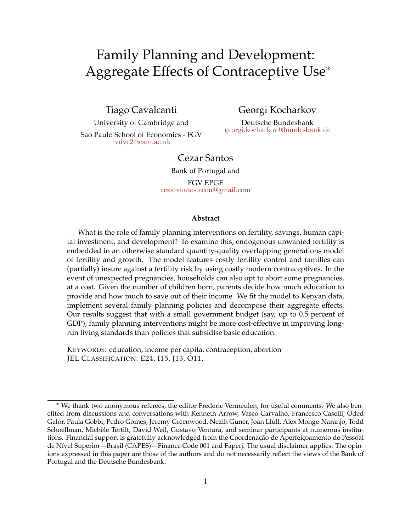# Family Planning and Development: Aggregate Effects of Contraceptive Use<sup>∗</sup>

Tiago Cavalcanti

University of Cambridge and Sao Paulo School of Economics - FGV [tvdvc2@cam.ac.uk](mailto:tvdvc2@cam.ac.uk)

Georgi Kocharkov

Deutsche Bundesbank [georgi.kocharkov@bundesbank.de](mailto:georgi.kocharkov@bundesbank.de)

### Cezar Santos

Bank of Portugal and

FGV EPGE [cezarsantos.econ@gmail.com](mailto:cezarsantos.econ@gmail.com)

#### **Abstract**

What is the role of family planning interventions on fertility, savings, human capital investment, and development? To examine this, endogenous unwanted fertility is embedded in an otherwise standard quantity-quality overlapping generations model of fertility and growth. The model features costly fertility control and families can (partially) insure against a fertility risk by using costly modern contraceptives. In the event of unexpected pregnancies, households can also opt to abort some pregnancies, at a cost. Given the number of children born, parents decide how much education to provide and how much to save out of their income. We fit the model to Kenyan data, implement several family planning policies and decompose their aggregate effects. Our results suggest that with a small government budget (say, up to 0.5 percent of GDP), family planning interventions might be more cost-effective in improving longrun living standards than policies that subsidise basic education.

KEYWORDS: education, income per capita, contraception, abortion JEL CLASSIFICATION: E24, I15, J13, O11.

<sup>∗</sup> We thank two anonymous referees, the editor Frederic Vermeulen, for useful comments. We also benefited from discussions and conversations with Kenneth Arrow, Vasco Carvalho, Francesco Caselli, Oded Galor, Paula Gobbi, Pedro Gomes, Jeremy Greenwood, Nezih Guner, Joan Llull, Alex Monge-Naranjo, Todd Schoellman, Michèle Tertilt, David Weil, Gustavo Ventura, and seminar participants at numerous institutions. Financial support is gratefully acknowledged from the Coordenação de Aperfeiçoamento de Pessoal de Nível Superior—Brasil (CAPES)—Finance Code 001 and Faperj. The usual disclaimer applies. The opinions expressed in this paper are those of the authors and do not necessarily reflect the views of the Bank of Portugal and the Deutsche Bundesbank.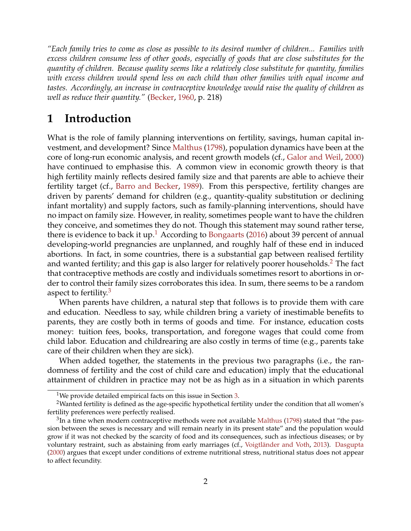<span id="page-1-3"></span>*"Each family tries to come as close as possible to its desired number of children... Families with excess children consume less of other goods, especially of goods that are close substitutes for the quantity of children. Because quality seems like a relatively close substitute for quantity, families with excess children would spend less on each child than other families with equal income and tastes. Accordingly, an increase in contraceptive knowledge would raise the quality of children as well as reduce their quantity."* [\(Becker,](#page-37-0) [1960,](#page-37-0) p. 218)

# **1 Introduction**

What is the role of family planning interventions on fertility, savings, human capital investment, and development? Since [Malthus](#page-38-0) [\(1798\)](#page-38-0), population dynamics have been at the core of long-run economic analysis, and recent growth models (cf., [Galor and Weil,](#page-38-1) [2000\)](#page-38-1) have continued to emphasise this. A common view in economic growth theory is that high fertility mainly reflects desired family size and that parents are able to achieve their fertility target (cf., [Barro and Becker,](#page-36-0) [1989\)](#page-36-0). From this perspective, fertility changes are driven by parents' demand for children (e.g., quantity-quality substitution or declining infant mortality) and supply factors, such as family-planning interventions, should have no impact on family size. However, in reality, sometimes people want to have the children they conceive, and sometimes they do not. Though this statement may sound rather terse, there is evidence to back it up.<sup>[1](#page-1-0)</sup> According to [Bongaarts](#page-37-1) [\(2016\)](#page-37-1) about 39 percent of annual developing-world pregnancies are unplanned, and roughly half of these end in induced abortions. In fact, in some countries, there is a substantial gap between realised fertility and wanted fertility; and this gap is also larger for relatively poorer households.<sup>[2](#page-1-1)</sup> The fact that contraceptive methods are costly and individuals sometimes resort to abortions in order to control their family sizes corroborates this idea. In sum, there seems to be a random aspect to fertility. $3$ 

When parents have children, a natural step that follows is to provide them with care and education. Needless to say, while children bring a variety of inestimable benefits to parents, they are costly both in terms of goods and time. For instance, education costs money: tuition fees, books, transportation, and foregone wages that could come from child labor. Education and childrearing are also costly in terms of time (e.g., parents take care of their children when they are sick).

When added together, the statements in the previous two paragraphs (i.e., the randomness of fertility and the cost of child care and education) imply that the educational attainment of children in practice may not be as high as in a situation in which parents

<span id="page-1-1"></span><span id="page-1-0"></span><sup>&</sup>lt;sup>1</sup>We provide detailed empirical facts on this issue in Section [3.](#page-5-0)

<sup>&</sup>lt;sup>2</sup>Wanted fertility is defined as the age-specific hypothetical fertility under the condition that all women's fertility preferences were perfectly realised.

<span id="page-1-2"></span> ${}^{3}$ In a time when modern contraceptive methods were not available [Malthus](#page-38-0) [\(1798\)](#page-38-0) stated that "the passion between the sexes is necessary and will remain nearly in its present state" and the population would grow if it was not checked by the scarcity of food and its consequences, such as infectious diseases; or by voluntary restraint, such as abstaining from early marriages (cf., [Voigtländer and Voth,](#page-39-0) [2013\)](#page-39-0). [Dasgupta](#page-37-2) [\(2000\)](#page-37-2) argues that except under conditions of extreme nutritional stress, nutritional status does not appear to affect fecundity.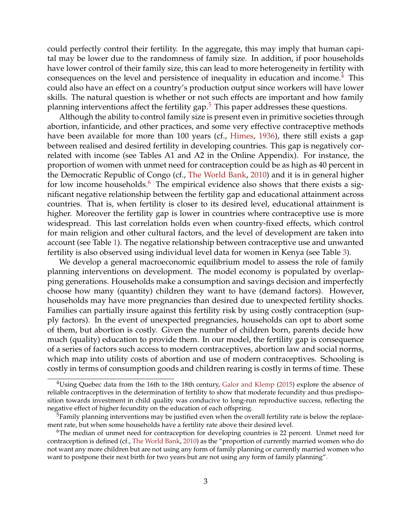<span id="page-2-3"></span>could perfectly control their fertility. In the aggregate, this may imply that human capital may be lower due to the randomness of family size. In addition, if poor households have lower control of their family size, this can lead to more heterogeneity in fertility with consequences on the level and persistence of inequality in education and income.<sup>[4](#page-2-0)</sup> This could also have an effect on a country's production output since workers will have lower skills. The natural question is whether or not such effects are important and how family planning interventions affect the fertility gap. $<sup>5</sup>$  $<sup>5</sup>$  $<sup>5</sup>$  This paper addresses these questions.</sup>

Although the ability to control family size is present even in primitive societies through abortion, infanticide, and other practices, and some very effective contraceptive methods have been available for more than 100 years (cf., [Himes,](#page-38-2) [1936\)](#page-38-2), there still exists a gap between realised and desired fertility in developing countries. This gap is negatively correlated with income (see Tables A1 and A2 in the Online Appendix). For instance, the proportion of women with unmet need for contraception could be as high as 40 percent in the Democratic Republic of Congo (cf., [The World Bank,](#page-39-1) [2010\)](#page-39-1) and it is in general higher for low income households.<sup>[6](#page-2-2)</sup> The empirical evidence also shows that there exists a significant negative relationship between the fertility gap and educational attainment across countries. That is, when fertility is closer to its desired level, educational attainment is higher. Moreover the fertility gap is lower in countries where contraceptive use is more widespread. This last correlation holds even when country-fixed effects, which control for main religion and other cultural factors, and the level of development are taken into account (see Table [1\)](#page-6-0). The negative relationship between contraceptive use and unwanted fertility is also observed using individual level data for women in Kenya (see Table [3\)](#page-8-0).

We develop a general macroeconomic equilibrium model to assess the role of family planning interventions on development. The model economy is populated by overlapping generations. Households make a consumption and savings decision and imperfectly choose how many (quantity) children they want to have (demand factors). However, households may have more pregnancies than desired due to unexpected fertility shocks. Families can partially insure against this fertility risk by using costly contraception (supply factors). In the event of unexpected pregnancies, households can opt to abort some of them, but abortion is costly. Given the number of children born, parents decide how much (quality) education to provide them. In our model, the fertility gap is consequence of a series of factors such access to modern contraceptives, abortion law and social norms, which map into utility costs of abortion and use of modern contraceptives. Schooling is costly in terms of consumption goods and children rearing is costly in terms of time. These

<span id="page-2-0"></span><sup>&</sup>lt;sup>4</sup>Using Quebec data from the 16th to the 18th century, [Galor and Klemp](#page-38-3) [\(2015\)](#page-38-3) explore the absence of reliable contraceptives in the determination of fertility to show that moderate fecundity and thus predisposition towards investment in child quality was conducive to long-run reproductive success, reflecting the negative effect of higher fecundity on the education of each offspring.

<span id="page-2-1"></span> $5$ Family planning interventions may be justified even when the overall fertility rate is below the replacement rate, but when some households have a fertility rate above their desired level.

<span id="page-2-2"></span><sup>&</sup>lt;sup>6</sup>The median of unmet need for contraception for developing countries is 22 percent. Unmet need for contraception is defined (cf., [The World Bank,](#page-39-1) [2010\)](#page-39-1) as the "proportion of currently married women who do not want any more children but are not using any form of family planning or currently married women who want to postpone their next birth for two years but are not using any form of family planning".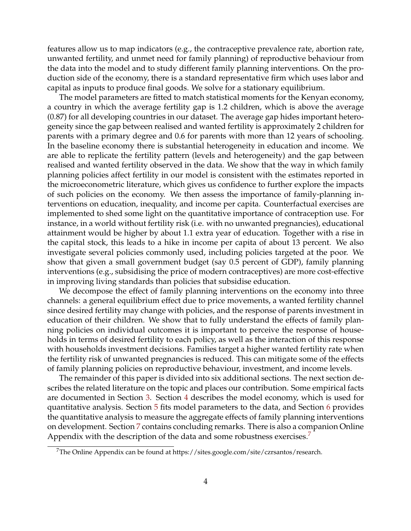features allow us to map indicators (e.g., the contraceptive prevalence rate, abortion rate, unwanted fertility, and unmet need for family planning) of reproductive behaviour from the data into the model and to study different family planning interventions. On the production side of the economy, there is a standard representative firm which uses labor and capital as inputs to produce final goods. We solve for a stationary equilibrium.

The model parameters are fitted to match statistical moments for the Kenyan economy, a country in which the average fertility gap is 1.2 children, which is above the average (0.87) for all developing countries in our dataset. The average gap hides important heterogeneity since the gap between realised and wanted fertility is approximately 2 children for parents with a primary degree and 0.6 for parents with more than 12 years of schooling. In the baseline economy there is substantial heterogeneity in education and income. We are able to replicate the fertility pattern (levels and heterogeneity) and the gap between realised and wanted fertility observed in the data. We show that the way in which family planning policies affect fertility in our model is consistent with the estimates reported in the microeconometric literature, which gives us confidence to further explore the impacts of such policies on the economy. We then assess the importance of family-planning interventions on education, inequality, and income per capita. Counterfactual exercises are implemented to shed some light on the quantitative importance of contraception use. For instance, in a world without fertility risk (i.e. with no unwanted pregnancies), educational attainment would be higher by about 1.1 extra year of education. Together with a rise in the capital stock, this leads to a hike in income per capita of about 13 percent. We also investigate several policies commonly used, including policies targeted at the poor. We show that given a small government budget (say 0.5 percent of GDP), family planning interventions (e.g., subsidising the price of modern contraceptives) are more cost-effective in improving living standards than policies that subsidise education.

We decompose the effect of family planning interventions on the economy into three channels: a general equilibrium effect due to price movements, a wanted fertility channel since desired fertility may change with policies, and the response of parents investment in education of their children. We show that to fully understand the effects of family planning policies on individual outcomes it is important to perceive the response of households in terms of desired fertility to each policy, as well as the interaction of this response with households investment decisions. Families target a higher wanted fertility rate when the fertility risk of unwanted pregnancies is reduced. This can mitigate some of the effects of family planning policies on reproductive behaviour, investment, and income levels.

The remainder of this paper is divided into six additional sections. The next section describes the related literature on the topic and places our contribution. Some empirical facts are documented in Section [3.](#page-5-0) Section [4](#page-9-0) describes the model economy, which is used for quantitative analysis. Section [5](#page-13-0) fits model parameters to the data, and Section [6](#page-23-0) provides the quantitative analysis to measure the aggregate effects of family planning interventions on development. Section [7](#page-35-0) contains concluding remarks. There is also a companion Online Appendix with the description of the data and some robustness exercises.<sup>[7](#page-3-0)</sup>

<span id="page-3-0"></span><sup>7</sup>The Online Appendix can be found at https://sites.google.com/site/czrsantos/research.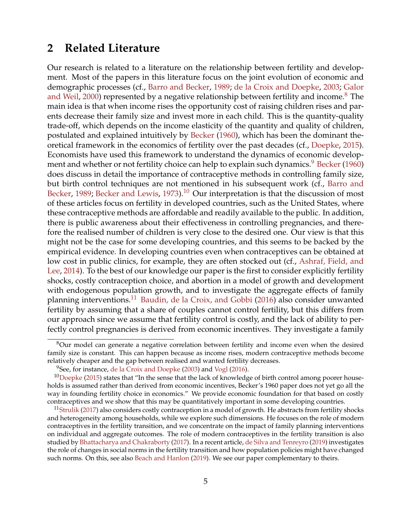# <span id="page-4-4"></span>**2 Related Literature**

Our research is related to a literature on the relationship between fertility and development. Most of the papers in this literature focus on the joint evolution of economic and demographic processes (cf., [Barro and Becker,](#page-36-0) [1989;](#page-36-0) [de la Croix and Doepke,](#page-37-3) [2003;](#page-37-3) [Galor](#page-38-1) [and Weil,](#page-38-1) [2000\)](#page-38-1) represented by a negative relationship between fertility and income.<sup>[8](#page-4-0)</sup> The main idea is that when income rises the opportunity cost of raising children rises and parents decrease their family size and invest more in each child. This is the quantity-quality trade-off, which depends on the income elasticity of the quantity and quality of children, postulated and explained intuitively by [Becker](#page-37-0) [\(1960\)](#page-37-0), which has been the dominant theoretical framework in the economics of fertility over the past decades (cf., [Doepke,](#page-37-4) [2015\)](#page-37-4). Economists have used this framework to understand the dynamics of economic develop-ment and whether or not fertility choice can help to explain such dynamics.<sup>[9](#page-4-1)</sup> [Becker](#page-37-0) [\(1960\)](#page-37-0) does discuss in detail the importance of contraceptive methods in controlling family size, but birth control techniques are not mentioned in his subsequent work (cf., [Barro and](#page-36-0) [Becker,](#page-36-0) [1989;](#page-36-0) [Becker and Lewis,](#page-37-5) [1973\)](#page-37-5).<sup>[10](#page-4-2)</sup> Our interpretation is that the discussion of most of these articles focus on fertility in developed countries, such as the United States, where these contraceptive methods are affordable and readily available to the public. In addition, there is public awareness about their effectiveness in controlling pregnancies, and therefore the realised number of children is very close to the desired one. Our view is that this might not be the case for some developing countries, and this seems to be backed by the empirical evidence. In developing countries even when contraceptives can be obtained at low cost in public clinics, for example, they are often stocked out (cf., [Ashraf, Field, and](#page-36-1) [Lee,](#page-36-1) [2014\)](#page-36-1). To the best of our knowledge our paper is the first to consider explicitly fertility shocks, costly contraception choice, and abortion in a model of growth and development with endogenous population growth, and to investigate the aggregate effects of family planning interventions.<sup>[11](#page-4-3)</sup> [Baudin, de la Croix, and Gobbi](#page-36-2) [\(2016\)](#page-36-2) also consider unwanted fertility by assuming that a share of couples cannot control fertility, but this differs from our approach since we assume that fertility control is costly, and the lack of ability to perfectly control pregnancies is derived from economic incentives. They investigate a family

<span id="page-4-0"></span><sup>8</sup>Our model can generate a negative correlation between fertility and income even when the desired family size is constant. This can happen because as income rises, modern contraceptive methods become relatively cheaper and the gap between realised and wanted fertility decreases.

<span id="page-4-2"></span><span id="page-4-1"></span> $9$ See, for instance, [de la Croix and Doepke](#page-37-3) [\(2003\)](#page-37-3) and [Vogl](#page-39-2) [\(2016\)](#page-39-2).

 $10$ [Doepke](#page-37-4) [\(2015\)](#page-37-4) states that "In the sense that the lack of knowledge of birth control among poorer households is assumed rather than derived from economic incentives, Becker's 1960 paper does not yet go all the way in founding fertility choice in economics." We provide economic foundation for that based on costly contraceptives and we show that this may be quantitatively important in some developing countries.

<span id="page-4-3"></span> $11$ [Strulik](#page-39-3) [\(2017\)](#page-39-3) also considers costly contraception in a model of growth. He abstracts from fertility shocks and heterogeneity among households, while we explore such dimensions. He focuses on the role of modern contraceptives in the fertility transition, and we concentrate on the impact of family planning interventions on individual and aggregate outcomes. The role of modern contraceptives in the fertility transition is also studied by [Bhattacharya and Chakraborty](#page-37-6) [\(2017\)](#page-37-6). In a recent article, [de Silva and Tenreyro](#page-37-7) [\(2019\)](#page-37-7) investigates the role of changes in social norms in the fertility transition and how population policies might have changed such norms. On this, see also [Beach and Hanlon](#page-36-3) [\(2019\)](#page-36-3). We see our paper complementary to theirs.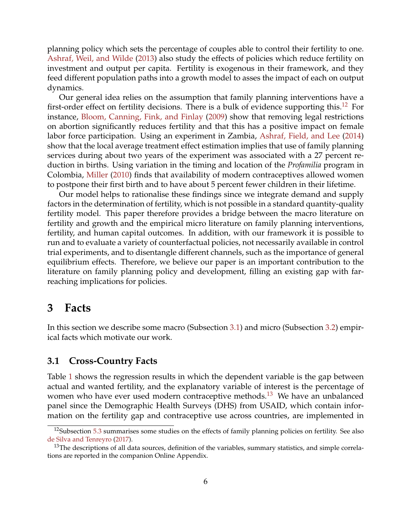<span id="page-5-4"></span>planning policy which sets the percentage of couples able to control their fertility to one. [Ashraf, Weil, and Wilde](#page-36-4) [\(2013\)](#page-36-4) also study the effects of policies which reduce fertility on investment and output per capita. Fertility is exogenous in their framework, and they feed different population paths into a growth model to asses the impact of each on output dynamics.

Our general idea relies on the assumption that family planning interventions have a first-order effect on fertility decisions. There is a bulk of evidence supporting this.<sup>[12](#page-5-1)</sup> For instance, [Bloom, Canning, Fink, and Finlay](#page-37-8) [\(2009\)](#page-37-8) show that removing legal restrictions on abortion significantly reduces fertility and that this has a positive impact on female labor force participation. Using an experiment in Zambia, [Ashraf, Field, and Lee](#page-36-1) [\(2014\)](#page-36-1) show that the local average treatment effect estimation implies that use of family planning services during about two years of the experiment was associated with a 27 percent reduction in births. Using variation in the timing and location of the *Profamilia* program in Colombia, [Miller](#page-38-4) [\(2010\)](#page-38-4) finds that availability of modern contraceptives allowed women to postpone their first birth and to have about 5 percent fewer children in their lifetime.

Our model helps to rationalise these findings since we integrate demand and supply factors in the determination of fertility, which is not possible in a standard quantity-quality fertility model. This paper therefore provides a bridge between the macro literature on fertility and growth and the empirical micro literature on family planning interventions, fertility, and human capital outcomes. In addition, with our framework it is possible to run and to evaluate a variety of counterfactual policies, not necessarily available in control trial experiments, and to disentangle different channels, such as the importance of general equilibrium effects. Therefore, we believe our paper is an important contribution to the literature on family planning policy and development, filling an existing gap with farreaching implications for policies.

# <span id="page-5-0"></span>**3 Facts**

In this section we describe some macro (Subsection [3.1\)](#page-5-2) and micro (Subsection [3.2\)](#page-8-1) empirical facts which motivate our work.

### <span id="page-5-2"></span>**3.1 Cross-Country Facts**

Table [1](#page-6-0) shows the regression results in which the dependent variable is the gap between actual and wanted fertility, and the explanatory variable of interest is the percentage of women who have ever used modern contraceptive methods.<sup>[13](#page-5-3)</sup> We have an unbalanced panel since the Demographic Health Surveys (DHS) from USAID, which contain information on the fertility gap and contraceptive use across countries, are implemented in

<span id="page-5-1"></span><sup>&</sup>lt;sup>12</sup>Subsection [5.3](#page-20-0) summarises some studies on the effects of family planning policies on fertility. See also [de Silva and Tenreyro](#page-37-9) [\(2017\)](#page-37-9).

<span id="page-5-3"></span><sup>&</sup>lt;sup>13</sup>The descriptions of all data sources, definition of the variables, summary statistics, and simple correlations are reported in the companion Online Appendix.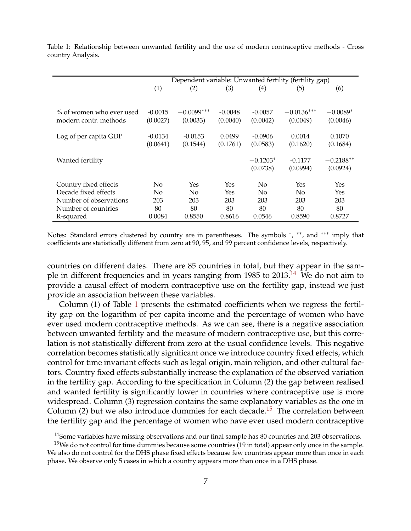<span id="page-6-0"></span>

| Table 1: Relationship between unwanted fertility and the use of modern contraceptive methods - Cross |  |  |  |  |  |
|------------------------------------------------------------------------------------------------------|--|--|--|--|--|
| country Analysis.                                                                                    |  |  |  |  |  |

|                                                |           |              |            |            | Dependent variable: Unwanted fertility (fertility gap) |             |
|------------------------------------------------|-----------|--------------|------------|------------|--------------------------------------------------------|-------------|
|                                                | (1)       | (2)          | (3)        | (4)        | (5)                                                    | (6)         |
|                                                |           |              |            |            |                                                        |             |
| % of women who ever used                       | $-0.0015$ | $-0.0099***$ | $-0.0048$  | $-0.0057$  | $-0.0136***$                                           | $-0.0089*$  |
|                                                |           |              |            |            |                                                        |             |
| modern contr. methods                          | (0.0027)  | (0.0033)     | (0.0040)   | (0.0042)   | (0.0049)                                               | (0.0046)    |
|                                                |           |              |            |            |                                                        |             |
| Log of per capita GDP                          | $-0.0134$ | $-0.0153$    | 0.0499     | $-0.0906$  | 0.0014                                                 | 0.1070      |
|                                                | (0.0641)  | (0.1544)     | (0.1761)   | (0.0583)   | (0.1620)                                               | (0.1684)    |
|                                                |           |              |            |            |                                                        |             |
| Wanted fertility                               |           |              |            | $-0.1203*$ | $-0.1177$                                              | $-0.2188**$ |
|                                                |           |              |            | (0.0738)   | (0.0994)                                               | (0.0924)    |
|                                                |           |              |            |            |                                                        |             |
| Country fixed effects                          | No        | Yes          | Yes        | $\rm No$   | Yes                                                    | Yes         |
|                                                |           |              |            |            |                                                        |             |
|                                                |           |              |            |            |                                                        |             |
|                                                |           |              |            |            |                                                        |             |
| Number of countries                            | 80        | 80           | 80         | 80         | 80                                                     | 80          |
| R-squared                                      | 0.0084    | 0.8550       | 0.8616     | 0.0546     | 0.8590                                                 | 0.8727      |
| Decade fixed effects<br>Number of observations | No<br>203 | No.<br>203   | Yes<br>203 | No.<br>203 | No<br>203                                              | Yes<br>203  |

Notes: Standard errors clustered by country are in parentheses. The symbols \*, \*\*, and \*\*\* imply that coefficients are statistically different from zero at 90, 95, and 99 percent confidence levels, respectively.

countries on different dates. There are 85 countries in total, but they appear in the sam-ple in different frequencies and in years ranging from 1985 to 2013.<sup>[14](#page-6-1)</sup> We do not aim to provide a causal effect of modern contraceptive use on the fertility gap, instead we just provide an association between these variables.

Column (1) of Table [1](#page-6-0) presents the estimated coefficients when we regress the fertility gap on the logarithm of per capita income and the percentage of women who have ever used modern contraceptive methods. As we can see, there is a negative association between unwanted fertility and the measure of modern contraceptive use, but this correlation is not statistically different from zero at the usual confidence levels. This negative correlation becomes statistically significant once we introduce country fixed effects, which control for time invariant effects such as legal origin, main religion, and other cultural factors. Country fixed effects substantially increase the explanation of the observed variation in the fertility gap. According to the specification in Column (2) the gap between realised and wanted fertility is significantly lower in countries where contraceptive use is more widespread. Column (3) regression contains the same explanatory variables as the one in Column (2) but we also introduce dummies for each decade.<sup>[15](#page-6-2)</sup> The correlation between the fertility gap and the percentage of women who have ever used modern contraceptive

<span id="page-6-2"></span><span id="page-6-1"></span><sup>&</sup>lt;sup>14</sup>Some variables have missing observations and our final sample has 80 countries and 203 observations.

 $15$ We do not control for time dummies because some countries (19 in total) appear only once in the sample. We also do not control for the DHS phase fixed effects because few countries appear more than once in each phase. We observe only 5 cases in which a country appears more than once in a DHS phase.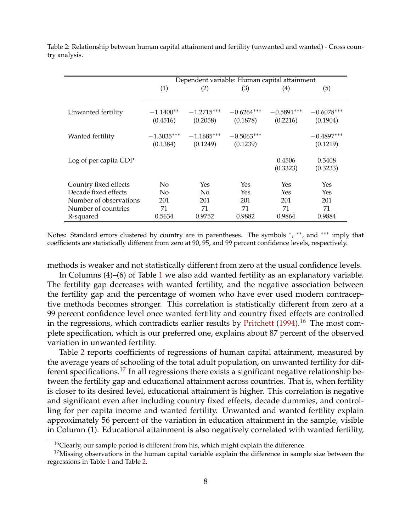|                       |                          | Dependent variable: Human capital attainment |                          |                          |                          |
|-----------------------|--------------------------|----------------------------------------------|--------------------------|--------------------------|--------------------------|
|                       | (1)                      | (2)                                          | (3)                      | $\left( 4\right)$        | (5)                      |
| Unwanted fertility    | $-1.1400**$<br>(0.4516)  | $-1.2715***$<br>(0.2058)                     | $-0.6264***$<br>(0.1878) | $-0.5891***$<br>(0.2216) | $-0.6078***$<br>(0.1904) |
| Wanted fertility      | $-1.3035***$<br>(0.1384) | $-1.1685***$<br>(0.1249)                     | $-0.5063***$<br>(0.1239) |                          | $-0.4897***$<br>(0.1219) |
| Log of per capita GDP |                          |                                              |                          | 0.4506<br>(0.3323)       | 0.3408<br>(0.3233)       |

<span id="page-7-3"></span><span id="page-7-1"></span>Table 2: Relationship between human capital attainment and fertility (unwanted and wanted) - Cross country analysis.

Notes: Standard errors clustered by country are in parentheses. The symbols \*, \*\*, and \*\*\* imply that coefficients are statistically different from zero at 90, 95, and 99 percent confidence levels, respectively.

Country fixed effects No Yes Yes Yes Yes Decade fixed effects No No Yes Yes Yes Yes Number of observations 201 201 201 201 201 201 Number of countries  $71$  71 71 71 71 71 R-squared 0.5634 0.9752 0.9882 0.9864 0.9884

methods is weaker and not statistically different from zero at the usual confidence levels.

In Columns (4)–(6) of Table [1](#page-6-0) we also add wanted fertility as an explanatory variable. The fertility gap decreases with wanted fertility, and the negative association between the fertility gap and the percentage of women who have ever used modern contraceptive methods becomes stronger. This correlation is statistically different from zero at a 99 percent confidence level once wanted fertility and country fixed effects are controlled in the regressions, which contradicts earlier results by [Pritchett](#page-39-4)  $(1994).$  $(1994).$ <sup>[16](#page-7-0)</sup> The most complete specification, which is our preferred one, explains about 87 percent of the observed variation in unwanted fertility.

Table [2](#page-7-1) reports coefficients of regressions of human capital attainment, measured by the average years of schooling of the total adult population, on unwanted fertility for dif-ferent specifications.<sup>[17](#page-7-2)</sup> In all regressions there exists a significant negative relationship between the fertility gap and educational attainment across countries. That is, when fertility is closer to its desired level, educational attainment is higher. This correlation is negative and significant even after including country fixed effects, decade dummies, and controlling for per capita income and wanted fertility. Unwanted and wanted fertility explain approximately 56 percent of the variation in education attainment in the sample, visible in Column (1). Educational attainment is also negatively correlated with wanted fertility,

<span id="page-7-2"></span><span id="page-7-0"></span><sup>&</sup>lt;sup>16</sup>Clearly, our sample period is different from his, which might explain the difference.

 $17$ Missing observations in the human capital variable explain the difference in sample size between the regressions in Table [1](#page-6-0) and Table [2.](#page-7-1)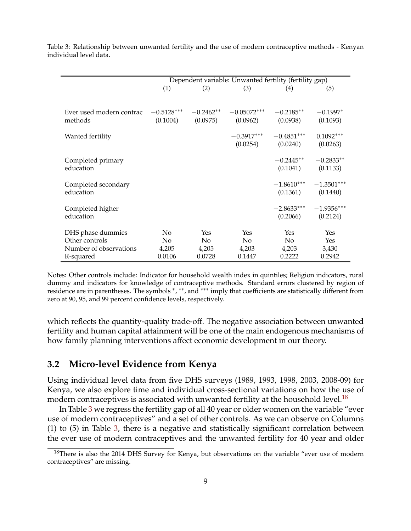|                                     |                          |                         | Dependent variable: Unwanted fertility (fertility gap) |                          |                          |
|-------------------------------------|--------------------------|-------------------------|--------------------------------------------------------|--------------------------|--------------------------|
|                                     | (1)                      | (2)                     | (3)                                                    | (4)                      | (5)                      |
|                                     |                          |                         |                                                        |                          |                          |
| Ever used modern contrac<br>methods | $-0.5128***$<br>(0.1004) | $-0.2462**$<br>(0.0975) | $-0.05072***$<br>(0.0962)                              | $-0.2185**$<br>(0.0938)  | $-0.1997*$<br>(0.1093)   |
| Wanted fertility                    |                          |                         | $-0.3917***$<br>(0.0254)                               | $-0.4851***$<br>(0.0240) | $0.1092***$<br>(0.0263)  |
| Completed primary<br>education      |                          |                         |                                                        | $-0.2445**$<br>(0.1041)  | $-0.2833**$<br>(0.1133)  |
| Completed secondary<br>education    |                          |                         |                                                        | $-1.8610***$<br>(0.1361) | $-1.3501***$<br>(0.1440) |
| Completed higher<br>education       |                          |                         |                                                        | $-2.8633***$<br>(0.2066) | $-1.9356***$<br>(0.2124) |
| DHS phase dummies                   | No                       | Yes                     | Yes                                                    | Yes                      | Yes                      |
| Other controls                      | N <sub>o</sub>           | No.                     | N <sub>o</sub>                                         | N <sub>o</sub>           | Yes                      |
| Number of observations              | 4,205                    | 4,205                   | 4,203                                                  | 4,203                    | 3,430                    |
| R-squared                           | 0.0106                   | 0.0728                  | 0.1447                                                 | 0.2222                   | 0.2942                   |

<span id="page-8-0"></span>Table 3: Relationship between unwanted fertility and the use of modern contraceptive methods - Kenyan individual level data.

Notes: Other controls include: Indicator for household wealth index in quintiles; Religion indicators, rural dummy and indicators for knowledge of contraceptive methods. Standard errors clustered by region of residence are in parentheses. The symbols \*, \*\*, and \*\*\* imply that coefficients are statistically different from zero at 90, 95, and 99 percent confidence levels, respectively.

which reflects the quantity-quality trade-off. The negative association between unwanted fertility and human capital attainment will be one of the main endogenous mechanisms of how family planning interventions affect economic development in our theory.

### <span id="page-8-1"></span>**3.2 Micro-level Evidence from Kenya**

Using individual level data from five DHS surveys (1989, 1993, 1998, 2003, 2008-09) for Kenya, we also explore time and individual cross-sectional variations on how the use of modern contraceptives is associated with unwanted fertility at the household level.<sup>[18](#page-8-2)</sup>

In Table [3](#page-8-0) we regress the fertility gap of all 40 year or older women on the variable "ever use of modern contraceptives" and a set of other controls. As we can observe on Columns (1) to (5) in Table [3,](#page-8-0) there is a negative and statistically significant correlation between the ever use of modern contraceptives and the unwanted fertility for 40 year and older

<span id="page-8-2"></span> $18$ There is also the 2014 DHS Survey for Kenya, but observations on the variable "ever use of modern contraceptives" are missing.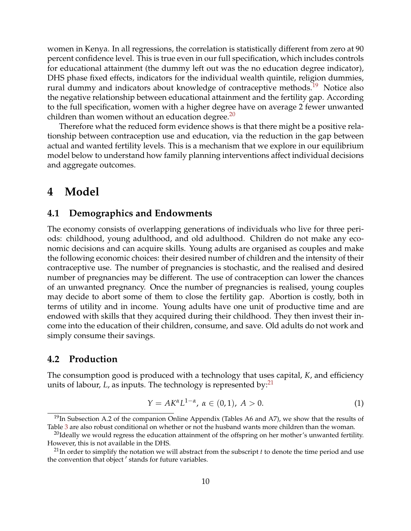women in Kenya. In all regressions, the correlation is statistically different from zero at 90 percent confidence level. This is true even in our full specification, which includes controls for educational attainment (the dummy left out was the no education degree indicator), DHS phase fixed effects, indicators for the individual wealth quintile, religion dummies, rural dummy and indicators about knowledge of contraceptive methods.<sup>[19](#page-9-1)</sup> Notice also the negative relationship between educational attainment and the fertility gap. According to the full specification, women with a higher degree have on average 2 fewer unwanted children than women without an education degree. $^{20}$  $^{20}$  $^{20}$ 

Therefore what the reduced form evidence shows is that there might be a positive relationship between contraception use and education, via the reduction in the gap between actual and wanted fertility levels. This is a mechanism that we explore in our equilibrium model below to understand how family planning interventions affect individual decisions and aggregate outcomes.

# <span id="page-9-0"></span>**4 Model**

#### **4.1 Demographics and Endowments**

The economy consists of overlapping generations of individuals who live for three periods: childhood, young adulthood, and old adulthood. Children do not make any economic decisions and can acquire skills. Young adults are organised as couples and make the following economic choices: their desired number of children and the intensity of their contraceptive use. The number of pregnancies is stochastic, and the realised and desired number of pregnancies may be different. The use of contraception can lower the chances of an unwanted pregnancy. Once the number of pregnancies is realised, young couples may decide to abort some of them to close the fertility gap. Abortion is costly, both in terms of utility and in income. Young adults have one unit of productive time and are endowed with skills that they acquired during their childhood. They then invest their income into the education of their children, consume, and save. Old adults do not work and simply consume their savings.

#### **4.2 Production**

The consumption good is produced with a technology that uses capital, *K*, and efficiency units of labour,  $L$ , as inputs. The technology is represented by: $^{21}$  $^{21}$  $^{21}$ 

$$
Y = AK^{\alpha}L^{1-\alpha}, \ \alpha \in (0,1), \ A > 0.
$$
 (1)

<span id="page-9-1"></span> $19$ In Subsection A.2 of the companion Online Appendix (Tables A6 and A7), we show that the results of Table [3](#page-8-0) are also robust conditional on whether or not the husband wants more children than the woman.

<span id="page-9-2"></span> $^{20}$ Ideally we would regress the education attainment of the offspring on her mother's unwanted fertility. However, this is not available in the DHS.

<span id="page-9-3"></span> $^{21}$ In order to simplify the notation we will abstract from the subscript *t* to denote the time period and use the convention that object ' stands for future variables.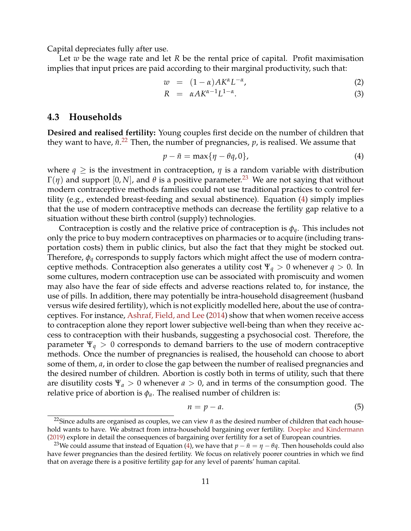<span id="page-10-5"></span>Capital depreciates fully after use.

Let *w* be the wage rate and let *R* be the rental price of capital. Profit maximisation implies that input prices are paid according to their marginal productivity, such that:

<span id="page-10-4"></span>
$$
w = (1 - \alpha) A K^{\alpha} L^{-\alpha}, \qquad (2)
$$

$$
R = \alpha A K^{\alpha - 1} L^{1 - \alpha}.
$$
 (3)

#### **4.3 Households**

**Desired and realised fertility:** Young couples first decide on the number of children that they want to have*, ñ*.<sup>[22](#page-10-0)</sup> Then, the number of pregnancies,  $p$ , is realised. We assume that

<span id="page-10-2"></span>
$$
p - \tilde{n} = \max\{\eta - \theta q, 0\},\tag{4}
$$

where  $q \geq$  is the investment in contraception,  $\eta$  is a random variable with distribution Γ(*η*) and support [0, *N*], and  $θ$  is a positive parameter.<sup>[23](#page-10-1)</sup> We are not saying that without modern contraceptive methods families could not use traditional practices to control fertility (e.g., extended breast-feeding and sexual abstinence). Equation [\(4\)](#page-10-2) simply implies that the use of modern contraceptive methods can decrease the fertility gap relative to a situation without these birth control (supply) technologies.

Contraception is costly and the relative price of contraception is *φq*. This includes not only the price to buy modern contraceptives on pharmacies or to acquire (including transportation costs) them in public clinics, but also the fact that they might be stocked out. Therefore, *φ<sup>q</sup>* corresponds to supply factors which might affect the use of modern contraceptive methods. Contraception also generates a utility cost  $\Psi_q > 0$  whenever  $q > 0$ . In some cultures, modern contraception use can be associated with promiscuity and women may also have the fear of side effects and adverse reactions related to, for instance, the use of pills. In addition, there may potentially be intra-household disagreement (husband versus wife desired fertility), which is not explicitly modelled here, about the use of contraceptives. For instance, [Ashraf, Field, and Lee](#page-36-1) [\(2014\)](#page-36-1) show that when women receive access to contraception alone they report lower subjective well-being than when they receive access to contraception with their husbands, suggesting a psychosocial cost. Therefore, the parameter Ψ*<sup>q</sup>* > 0 corresponds to demand barriers to the use of modern contraceptive methods. Once the number of pregnancies is realised, the household can choose to abort some of them, *a*, in order to close the gap between the number of realised pregnancies and the desired number of children. Abortion is costly both in terms of utility, such that there are disutility costs  $\Psi_a > 0$  whenever  $a > 0$ , and in terms of the consumption good. The relative price of abortion is  $\phi_a$ . The realised number of children is:

<span id="page-10-3"></span>
$$
n = p - a. \tag{5}
$$

<span id="page-10-0"></span><sup>&</sup>lt;sup>22</sup>Since adults are organised as couples, we can view  $\tilde{n}$  as the desired number of children that each household wants to have. We abstract from intra-household bargaining over fertility. [Doepke and Kindermann](#page-37-10) [\(2019\)](#page-37-10) explore in detail the consequences of bargaining over fertility for a set of European countries.

<span id="page-10-1"></span><sup>&</sup>lt;sup>23</sup>We could assume that instead of Equation [\(4\)](#page-10-2), we have that  $p - \tilde{n} = \eta - \theta q$ . Then households could also have fewer pregnancies than the desired fertility. We focus on relatively poorer countries in which we find that on average there is a positive fertility gap for any level of parents' human capital.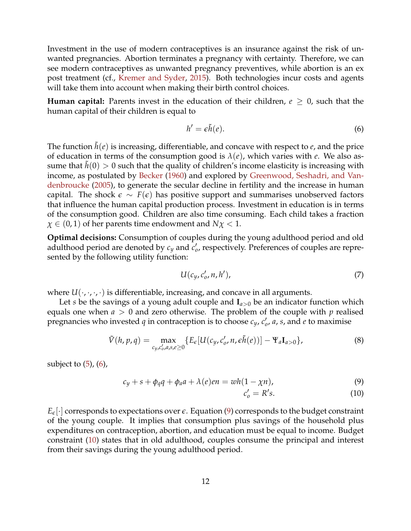<span id="page-11-2"></span>Investment in the use of modern contraceptives is an insurance against the risk of unwanted pregnancies. Abortion terminates a pregnancy with certainty. Therefore, we can see modern contraceptives as unwanted pregnancy preventives, while abortion is an ex post treatment (cf., [Kremer and Syder,](#page-38-5) [2015\)](#page-38-5). Both technologies incur costs and agents will take them into account when making their birth control choices.

**Human capital:** Parents invest in the education of their children,  $e \geq 0$ , such that the human capital of their children is equal to

<span id="page-11-0"></span>
$$
h' = \epsilon \tilde{h}(e). \tag{6}
$$

The function  $\tilde{h}(e)$  is increasing, differentiable, and concave with respect to  $e$ , and the price of education in terms of the consumption good is  $\lambda(e)$ , which varies with *e*. We also assume that  $h(0) > 0$  such that the quality of children's income elasticity is increasing with income, as postulated by [Becker](#page-37-0) [\(1960\)](#page-37-0) and explored by [Greenwood, Seshadri, and Van](#page-38-6)[denbroucke](#page-38-6) [\(2005\)](#page-38-6), to generate the secular decline in fertility and the increase in human capital. The shock  $\epsilon \sim F(\epsilon)$  has positive support and summarises unobserved factors that influence the human capital production process. Investment in education is in terms of the consumption good. Children are also time consuming. Each child takes a fraction  $\chi \in (0,1)$  of her parents time endowment and  $N\chi < 1$ .

**Optimal decisions:** Consumption of couples during the young adulthood period and old adulthood period are denoted by  $c_y$  and  $c'_o$ , respectively. Preferences of couples are represented by the following utility function:

$$
U(c_y, c'_0, n, h'),\tag{7}
$$

where  $U(\cdot,\cdot,\cdot,\cdot)$  is differentiable, increasing, and concave in all arguments.

Let *s* be the savings of a young adult couple and  $I_{a>0}$  be an indicator function which equals one when *a* > 0 and zero otherwise. The problem of the couple with *p* realised pregnancies who invested *q* in contraception is to choose  $c_y$ ,  $c'_0$ , *a*, *s*, and *e* to maximise

$$
\tilde{V}(h,p,q) = \max_{c_y,c'_0,a,s,e \ge 0} \{ E_{\epsilon}[U(c_y,c'_0,n,\epsilon\tilde{h}(e))] - \Psi_a \mathbf{I}_{a>0} \},\tag{8}
$$

subject to  $(5)$ ,  $(6)$ ,

<span id="page-11-1"></span>
$$
c_y + s + \phi_q q + \phi_a a + \lambda(e) en = wh(1 - \chi n), \qquad (9)
$$

$$
c_o' = R's.
$$
 (10)

 $E_{\epsilon}$ . corresponds to expectations over  $\epsilon$ . Equation [\(9\)](#page-11-1) corresponds to the budget constraint of the young couple. It implies that consumption plus savings of the household plus expenditures on contraception, abortion, and education must be equal to income. Budget constraint [\(10\)](#page-11-1) states that in old adulthood, couples consume the principal and interest from their savings during the young adulthood period.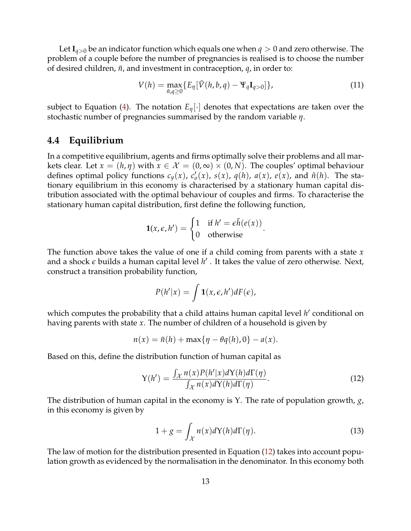Let  $I_{q>0}$  be an indicator function which equals one when  $q>0$  and zero otherwise. The problem of a couple before the number of pregnancies is realised is to choose the number of desired children,  $\tilde{n}$ , and investment in contraception,  $q$ , in order to:

$$
V(h) = \max_{\tilde{n}, q \ge 0} \{ E_{\eta} [\tilde{V}(h, b, q) - \Psi_q \mathbf{I}_{q>0}] \}, \qquad (11)
$$

.

subject to Equation [\(4\)](#page-10-2). The notation  $E_n[\cdot]$  denotes that expectations are taken over the stochastic number of pregnancies summarised by the random variable *η*.

### **4.4 Equilibrium**

In a competitive equilibrium, agents and firms optimally solve their problems and all markets clear. Let  $x = (h, \eta)$  with  $x \in \mathcal{X} = (0, \infty) \times (0, N)$ . The couples' optimal behaviour defines optimal policy functions  $c_y(x)$ ,  $c'_\theta(x)$ ,  $s(x)$ ,  $q(h)$ ,  $a(x)$ ,  $e(x)$ , and  $\tilde{n}(h)$ . The stationary equilibrium in this economy is characterised by a stationary human capital distribution associated with the optimal behaviour of couples and firms. To characterise the stationary human capital distribution, first define the following function,

$$
\mathbf{1}(x,\epsilon,h') = \begin{cases} 1 & \text{if } h' = \epsilon \tilde{h}(e(x)) \\ 0 & \text{otherwise} \end{cases}
$$

The function above takes the value of one if a child coming from parents with a state *x* and a shock  $\epsilon$  builds a human capital level  $h'$  . It takes the value of zero otherwise. Next, construct a transition probability function,

$$
P(h'|x) = \int \mathbf{1}(x,\epsilon,h')dF(\epsilon),
$$

which computes the probability that a child attains human capital level *h'* conditional on having parents with state *x*. The number of children of a household is given by

$$
n(x) = \tilde{n}(h) + \max\{\eta - \theta q(h), 0\} - a(x).
$$

Based on this, define the distribution function of human capital as

<span id="page-12-0"></span>
$$
Y(h') = \frac{\int_{\mathcal{X}} n(x)P(h'|x)dY(h)d\Gamma(\eta)}{\int_{\mathcal{X}} n(x)dY(h)d\Gamma(\eta)}.
$$
\n(12)

The distribution of human capital in the economy is Υ. The rate of population growth, *g*, in this economy is given by

<span id="page-12-1"></span>
$$
1 + g = \int_{\mathcal{X}} n(x)dY(h)d\Gamma(\eta). \tag{13}
$$

The law of motion for the distribution presented in Equation [\(12\)](#page-12-0) takes into account population growth as evidenced by the normalisation in the denominator. In this economy both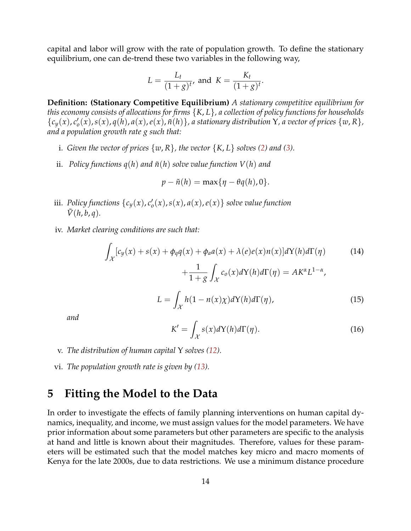capital and labor will grow with the rate of population growth. To define the stationary equilibrium, one can de-trend these two variables in the following way,

$$
L = \frac{L_t}{(1+g)^t}, \text{ and } K = \frac{K_t}{(1+g)^t}.
$$

**Definition: (Stationary Competitive Equilibrium)** *A stationary competitive equilibrium for this economy consists of allocations for firms* {*K*, *L*}*, a collection of policy functions for households*  $\{c_y(x), c'_o(x), s(x), q(h), a(x), e(x), \tilde{n}(h)\}\$ , a stationary distribution Y, a vector of prices  $\{w, R\}\$ , *and a population growth rate g such that:*

- i. *Given the vector of prices*  $\{w, R\}$ *, the vector*  $\{K, L\}$  *solves* [\(2\)](#page-10-4) *and* [\(3\)](#page-10-4)*.*
- ii. *Policy functions*  $q(h)$  *and*  $\tilde{n}(h)$  *solve value function*  $V(h)$  *and*

$$
p - \tilde{n}(h) = \max\{\eta - \theta q(h), 0\}.
$$

- iii. *Policy functions*  $\{c_y(x), c'_o(x), s(x), a(x), e(x)\}$  *solve value function*  $V(h, b, q)$ .
- iv. *Market clearing conditions are such that:*

$$
\int_{\mathcal{X}} [c_y(x) + s(x) + \phi_q q(x) + \phi_a a(x) + \lambda(e)e(x)n(x)]dY(h)d\Gamma(\eta)
$$
(14)  
 
$$
+ \frac{1}{1+g} \int_{\mathcal{X}} c_o(x)dY(h)d\Gamma(\eta) = AK^{\alpha}L^{1-\alpha},
$$
  
\n
$$
L = \int_{\mathcal{X}} h(1 - n(x)\chi)dY(h)d\Gamma(\eta),
$$
(15)

*and*

$$
K' = \int_{\mathcal{X}} s(x)dY(h)d\Gamma(\eta). \tag{16}
$$

- v. *The distribution of human capital* Υ *solves [\(12\)](#page-12-0).*
- vi. *The population growth rate is given by [\(13\)](#page-12-1).*

# <span id="page-13-0"></span>**5 Fitting the Model to the Data**

In order to investigate the effects of family planning interventions on human capital dynamics, inequality, and income, we must assign values for the model parameters. We have prior information about some parameters but other parameters are specific to the analysis at hand and little is known about their magnitudes. Therefore, values for these parameters will be estimated such that the model matches key micro and macro moments of Kenya for the late 2000s, due to data restrictions. We use a minimum distance procedure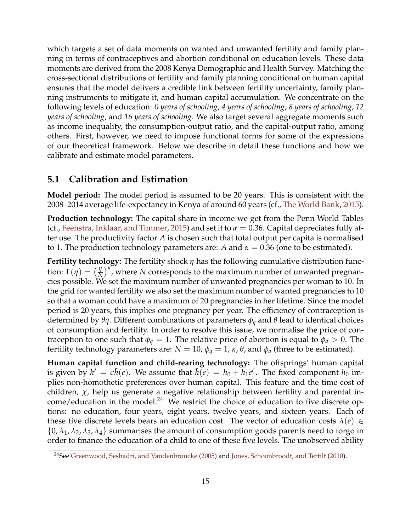<span id="page-14-1"></span>which targets a set of data moments on wanted and unwanted fertility and family planning in terms of contraceptives and abortion conditional on education levels. These data moments are derived from the 2008 Kenya Demographic and Health Survey. Matching the cross-sectional distributions of fertility and family planning conditional on human capital ensures that the model delivers a credible link between fertility uncertainty, family planning instruments to mitigate it, and human capital accumulation. We concentrate on the following levels of education: *0 years of schooling*, *4 years of schooling*, *8 years of schooling*, *12 years of schooling*, and *16 years of schooling*. We also target several aggregate moments such as income inequality, the consumption-output ratio, and the capital-output ratio, among others. First, however, we need to impose functional forms for some of the expressions of our theoretical framework. Below we describe in detail these functions and how we calibrate and estimate model parameters.

### **5.1 Calibration and Estimation**

**Model period:** The model period is assumed to be 20 years. This is consistent with the 2008–2014 average life-expectancy in Kenya of around 60 years (cf., [The World Bank,](#page-39-5) [2015\)](#page-39-5).

**Production technology:** The capital share in income we get from the Penn World Tables (cf., [Feenstra, Inklaar, and Timmer,](#page-37-11) [2015\)](#page-37-11) and set it to  $\alpha = 0.36$ . Capital depreciates fully after use. The productivity factor *A* is chosen such that total output per capita is normalised to 1. The production technology parameters are: *A* and  $\alpha = 0.36$  (one to be estimated).

**Fertility technology:** The fertility shock *η* has the following cumulative distribution function:  $\Gamma(\eta) = \left(\frac{\eta}{N}\right)^{\kappa}$ , where *N* corresponds to the maximum number of unwanted pregnancies possible. We set the maximum number of unwanted pregnancies per woman to 10. In the grid for wanted fertility we also set the maximum number of wanted pregnancies to 10 so that a woman could have a maximum of 20 pregnancies in her lifetime. Since the model period is 20 years, this implies one pregnancy per year. The efficiency of contraception is determined by *θq*. Different combinations of parameters *φ<sup>q</sup>* and *θ* lead to identical choices of consumption and fertility. In order to resolve this issue, we normalise the price of contraception to one such that  $\phi_q = 1$ . The relative price of abortion is equal to  $\phi_q > 0$ . The fertility technology parameters are:  $N = 10$ ,  $φ<sub>q</sub> = 1$ ,  $κ$ ,  $θ$ , and  $φ<sub>a</sub>$  (three to be estimated).

**Human capital function and child-rearing technology:** The offsprings' human capital is given by  $h' = \epsilon \tilde{h}(e)$ . We assume that  $\tilde{h}(e) = h_0 + h_1 e^{\zeta}$ . The fixed component  $h_0$  implies non-homothetic preferences over human capital. This feature and the time cost of children,  $\chi$ , help us generate a negative relationship between fertility and parental income/education in the model. $^{24}$  $^{24}$  $^{24}$  We restrict the choice of education to five discrete options: no education, four years, eight years, twelve years, and sixteen years. Each of these five discrete levels bears an education cost. The vector of education costs  $\lambda(e) \in$  $\{0, \lambda_1, \lambda_2, \lambda_3, \lambda_4\}$  summarises the amount of consumption goods parents need to forgo in order to finance the education of a child to one of these five levels. The unobserved ability

<span id="page-14-0"></span><sup>&</sup>lt;sup>24</sup>See [Greenwood, Seshadri, and Vandenbroucke](#page-38-6) [\(2005\)](#page-38-6) and [Jones, Schoonbroodt, and Tertilt](#page-38-7) [\(2010\)](#page-38-7).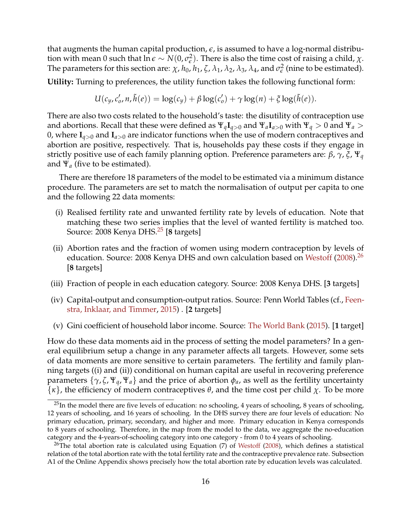<span id="page-15-2"></span>that augments the human capital production, *e*, is assumed to have a log-normal distribution with mean 0 such that  $\ln \epsilon \sim N(0,\sigma_{\epsilon}^2)$  $\epsilon$ <sup>2</sup>). There is also the time cost of raising a child, *χ*. The parameters for this section are:  $\chi$ ,  $h_0$ ,  $h_1$ ,  $\zeta$ ,  $\lambda_1$ ,  $\lambda_2$ ,  $\lambda_3$ ,  $\lambda_4$ , and  $\sigma_{\epsilon}^2$  $\frac{2}{\epsilon}$  (nine to be estimated).

**Utility:** Turning to preferences, the utility function takes the following functional form:

$$
U(c_y, c'_o, n, \tilde{h}(e)) = \log(c_y) + \beta \log(c'_o) + \gamma \log(n) + \xi \log(\tilde{h}(e)).
$$

There are also two costs related to the household's taste: the disutility of contraception use and abortions. Recall that these were defined as  $\Psi_q \mathbf{I}_{q>0}$  and  $\Psi_a \mathbf{I}_{q>0}$  with  $\Psi_q > 0$  and  $\Psi_q > 0$ 0, where  $I_{q>0}$  and  $I_{q>0}$  are indicator functions when the use of modern contraceptives and abortion are positive, respectively. That is, households pay these costs if they engage in strictly positive use of each family planning option. Preference parameters are: *β*, *γ*, *ξ*, Ψ*<sup>q</sup>* and Ψ*<sup>a</sup>* (five to be estimated).

There are therefore 18 parameters of the model to be estimated via a minimum distance procedure. The parameters are set to match the normalisation of output per capita to one and the following 22 data moments:

- (i) Realised fertility rate and unwanted fertility rate by levels of education. Note that matching these two series implies that the level of wanted fertility is matched too. Source: 2008 Kenya DHS.[25](#page-15-0) [**8** targets]
- (ii) Abortion rates and the fraction of women using modern contraception by levels of education. Source: 2008 Kenya DHS and own calculation based on [Westoff](#page-39-6)  $(2008)^{26}$  $(2008)^{26}$  $(2008)^{26}$  $(2008)^{26}$ [**8** targets]
- (iii) Fraction of people in each education category. Source: 2008 Kenya DHS. [**3** targets]
- (iv) Capital-output and consumption-output ratios. Source: Penn World Tables (cf., [Feen](#page-37-11)[stra, Inklaar, and Timmer,](#page-37-11) [2015\)](#page-37-11) . [**2** targets]
- (v) Gini coefficient of household labor income. Source: [The World Bank](#page-39-5) [\(2015\)](#page-39-5). [**1** target]

How do these data moments aid in the process of setting the model parameters? In a general equilibrium setup a change in any parameter affects all targets. However, some sets of data moments are more sensitive to certain parameters. The fertility and family planning targets ((i) and (ii)) conditional on human capital are useful in recovering preference parameters  $\{\gamma, \zeta, \Psi_q, \Psi_a\}$  and the price of abortion  $\phi_a$ , as well as the fertility uncertainty  $\{\kappa\}$ , the efficiency of modern contraceptives  $\theta$ , and the time cost per child *χ*. To be more

<span id="page-15-0"></span> $^{25}$ In the model there are five levels of education: no schooling, 4 years of schooling, 8 years of schooling, 12 years of schooling, and 16 years of schooling. In the DHS survey there are four levels of education: No primary education, primary, secondary, and higher and more. Primary education in Kenya corresponds to 8 years of schooling. Therefore, in the map from the model to the data, we aggregate the no-education category and the 4-years-of-schooling category into one category - from 0 to 4 years of schooling.

<span id="page-15-1"></span> $^{26}$ The total abortion rate is calculated using Equation (7) of [Westoff](#page-39-6) [\(2008\)](#page-39-6), which defines a statistical relation of the total abortion rate with the total fertility rate and the contraceptive prevalence rate. Subsection A1 of the Online Appendix shows precisely how the total abortion rate by education levels was calculated.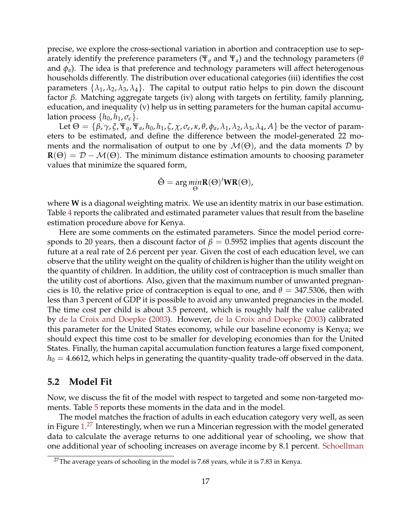<span id="page-16-1"></span>precise, we explore the cross-sectional variation in abortion and contraception use to separately identify the preference parameters (Ψ*<sup>q</sup>* and Ψ*a*) and the technology parameters (*θ* and *φa*). The idea is that preference and technology parameters will affect heterogenous households differently. The distribution over educational categories (iii) identifies the cost parameters  $\{\lambda_1, \lambda_2, \lambda_3, \lambda_4\}$ . The capital to output ratio helps to pin down the discount factor *β*. Matching aggregate targets (iv) along with targets on fertility, family planning, education, and inequality (v) help us in setting parameters for the human capital accumulation process  $\{h_0, h_1, \sigma_{\epsilon}\}.$ 

Let  $\Theta = \{\beta, \gamma, \xi, \Psi_q, \Psi_a, h_0, h_1, \zeta, \chi, \sigma_{\epsilon}, \kappa, \theta, \phi_a, \lambda_1, \lambda_2, \lambda_3, \lambda_4, A\}$  be the vector of parameters to be estimated, and define the difference between the model-generated 22 moments and the normalisation of output to one by  $\mathcal{M}(\Theta)$ , and the data moments D by **. The minimum distance estimation amounts to choosing parameter** values that minimize the squared form,

$$
\hat{\Theta} = \arg \min_{\Theta} R(\Theta)'WR(\Theta),
$$

where **W** is a diagonal weighting matrix. We use an identity matrix in our base estimation. Table [4](#page-17-0) reports the calibrated and estimated parameter values that result from the baseline estimation procedure above for Kenya.

Here are some comments on the estimated parameters. Since the model period corresponds to 20 years, then a discount factor of  $\beta = 0.5952$  implies that agents discount the future at a real rate of 2.6 percent per year. Given the cost of each education level, we can observe that the utility weight on the quality of children is higher than the utility weight on the quantity of children. In addition, the utility cost of contraception is much smaller than the utility cost of abortions. Also, given that the maximum number of unwanted pregnancies is 10, the relative price of contraception is equal to one, and  $\theta = 347.5306$ , then with less than 3 percent of GDP it is possible to avoid any unwanted pregnancies in the model. The time cost per child is about 3.5 percent, which is roughly half the value calibrated by [de la Croix and Doepke](#page-37-3) [\(2003\)](#page-37-3). However, [de la Croix and Doepke](#page-37-3) [\(2003\)](#page-37-3) calibrated this parameter for the United States economy, while our baseline economy is Kenya; we should expect this time cost to be smaller for developing economies than for the United States. Finally, the human capital accumulation function features a large fixed component,  $h_0 = 4.6612$ , which helps in generating the quantity-quality trade-off observed in the data.

#### **5.2 Model Fit**

Now, we discuss the fit of the model with respect to targeted and some non-targeted mo-ments. Table [5](#page-18-0) reports these moments in the data and in the model.

The model matches the fraction of adults in each education category very well, as seen in Figure  $1.^{27}$  $1.^{27}$  $1.^{27}$  $1.^{27}$  Interestingly, when we run a Mincerian regression with the model generated data to calculate the average returns to one additional year of schooling, we show that one additional year of schooling increases on average income by 8.1 percent. [Schoellman](#page-39-7)

<span id="page-16-0"></span><sup>&</sup>lt;sup>27</sup>The average years of schooling in the model is 7.68 years, while it is 7.83 in Kenya.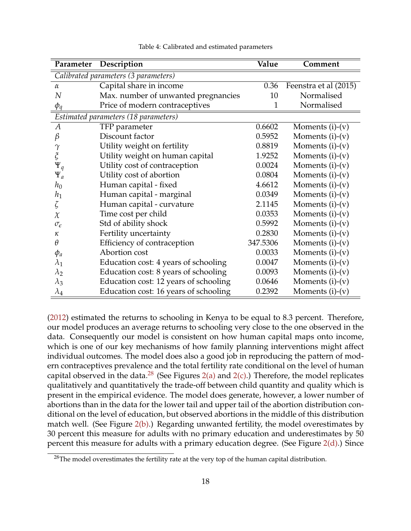<span id="page-17-0"></span>

| Parameter                    | Description                           | Value        | Comment               |
|------------------------------|---------------------------------------|--------------|-----------------------|
|                              | Calibrated parameters (3 parameters)  |              |                       |
| $\alpha$                     | Capital share in income               | 0.36         | Feenstra et al (2015) |
| N                            | Max. number of unwanted pregnancies   | 10           | Normalised            |
| $\phi_q$                     | Price of modern contraceptives        | $\mathbf{1}$ | Normalised            |
|                              | Estimated parameters (18 parameters)  |              |                       |
| А                            | TFP parameter                         | 0.6602       | Moments $(i)-(v)$     |
| β                            | Discount factor                       | 0.5952       | Moments $(i)-(v)$     |
| $\gamma$                     | Utility weight on fertility           | 0.8819       | Moments $(i)-(v)$     |
| $\boldsymbol{\tilde{\zeta}}$ | Utility weight on human capital       | 1.9252       | Moments $(i)-(v)$     |
| $\Psi_q$                     | Utility cost of contraception         | 0.0024       | Moments $(i)-(v)$     |
| $\Psi_a$                     | Utility cost of abortion              | 0.0804       | Moments $(i)-(v)$     |
| $h_0$                        | Human capital - fixed                 | 4.6612       | Moments $(i)-(v)$     |
| $h_1$                        | Human capital - marginal              | 0.0349       | Moments $(i)-(v)$     |
| ζ                            | Human capital - curvature             | 2.1145       | Moments $(i)-(v)$     |
| $\chi$                       | Time cost per child                   | 0.0353       | Moments $(i)-(v)$     |
| $\sigma_{\epsilon}$          | Std of ability shock                  | 0.5992       | Moments $(i)-(v)$     |
| к                            | Fertility uncertainty                 | 0.2830       | Moments $(i)-(v)$     |
| $\theta$                     | Efficiency of contraception           | 347.5306     | Moments $(i)-(v)$     |
| $\phi_a$                     | Abortion cost                         | 0.0033       | Moments $(i)-(v)$     |
| $\lambda_1$                  | Education cost: 4 years of schooling  | 0.0047       | Moments $(i)-(v)$     |
| $\lambda_2$                  | Education cost: 8 years of schooling  | 0.0093       | Moments $(i)-(v)$     |
| $\lambda_3$                  | Education cost: 12 years of schooling | 0.0646       | Moments $(i)-(v)$     |
| $\lambda_4$                  | Education cost: 16 years of schooling | 0.2392       | Moments $(i)-(v)$     |

Table 4: Calibrated and estimated parameters

[\(2012\)](#page-39-7) estimated the returns to schooling in Kenya to be equal to 8.3 percent. Therefore, our model produces an average returns to schooling very close to the one observed in the data. Consequently our model is consistent on how human capital maps onto income, which is one of our key mechanisms of how family planning interventions might affect individual outcomes. The model does also a good job in reproducing the pattern of modern contraceptives prevalence and the total fertility rate conditional on the level of human capital observed in the data.<sup>[28](#page-17-1)</sup> (See Figures [2\(a\)](#page-20-1) and [2\(c\).](#page-20-2)) Therefore, the model replicates qualitatively and quantitatively the trade-off between child quantity and quality which is present in the empirical evidence. The model does generate, however, a lower number of abortions than in the data for the lower tail and upper tail of the abortion distribution conditional on the level of education, but observed abortions in the middle of this distribution match well. (See Figure [2\(b\).](#page-20-3)) Regarding unwanted fertility, the model overestimates by 30 percent this measure for adults with no primary education and underestimates by 50 percent this measure for adults with a primary education degree. (See Figure  $2(d)$ .) Since

<span id="page-17-1"></span> $28$ The model overestimates the fertility rate at the very top of the human capital distribution.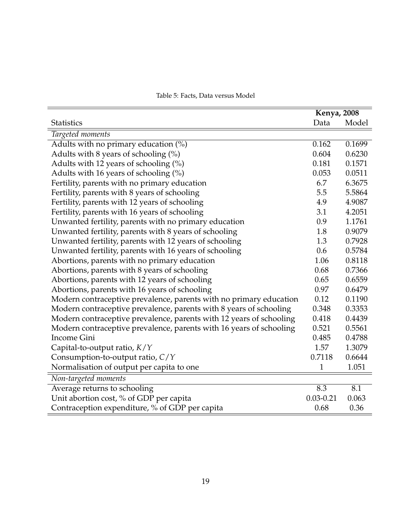<span id="page-18-0"></span>

|                                                                     | <b>Kenya</b> , 2008 |        |
|---------------------------------------------------------------------|---------------------|--------|
| <b>Statistics</b>                                                   | Data                | Model  |
| Targeted moments                                                    |                     |        |
| Adults with no primary education $(\%)$                             | 0.162               | 0.1699 |
| Adults with 8 years of schooling $(\%)$                             | 0.604               | 0.6230 |
| Adults with 12 years of schooling (%)                               | 0.181               | 0.1571 |
| Adults with 16 years of schooling (%)                               | 0.053               | 0.0511 |
| Fertility, parents with no primary education                        | 6.7                 | 6.3675 |
| Fertility, parents with 8 years of schooling                        | 5.5                 | 5.5864 |
| Fertility, parents with 12 years of schooling                       | 4.9                 | 4.9087 |
| Fertility, parents with 16 years of schooling                       | 3.1                 | 4.2051 |
| Unwanted fertility, parents with no primary education               | 0.9                 | 1.1761 |
| Unwanted fertility, parents with 8 years of schooling               | 1.8                 | 0.9079 |
| Unwanted fertility, parents with 12 years of schooling              | 1.3                 | 0.7928 |
| Unwanted fertility, parents with 16 years of schooling              | 0.6                 | 0.5784 |
| Abortions, parents with no primary education                        | 1.06                | 0.8118 |
| Abortions, parents with 8 years of schooling                        | 0.68                | 0.7366 |
| Abortions, parents with 12 years of schooling                       | 0.65                | 0.6559 |
| Abortions, parents with 16 years of schooling                       | 0.97                | 0.6479 |
| Modern contraceptive prevalence, parents with no primary education  | 0.12                | 0.1190 |
| Modern contraceptive prevalence, parents with 8 years of schooling  | 0.348               | 0.3353 |
| Modern contraceptive prevalence, parents with 12 years of schooling | 0.418               | 0.4439 |
| Modern contraceptive prevalence, parents with 16 years of schooling | 0.521               | 0.5561 |
| Income Gini                                                         | 0.485               | 0.4788 |
| Capital-to-output ratio, $K/Y$                                      | 1.57                | 1.3079 |
| Consumption-to-output ratio, C/Y                                    | 0.7118              | 0.6644 |
| Normalisation of output per capita to one                           | $\mathbf{1}$        | 1.051  |
| Non-targeted moments                                                |                     |        |
| Average returns to schooling                                        | 8.3                 | 8.1    |
| Unit abortion cost, % of GDP per capita                             | $0.03 - 0.21$       | 0.063  |
| Contraception expenditure, % of GDP per capita                      | 0.68                | 0.36   |

#### Table 5: Facts, Data versus Model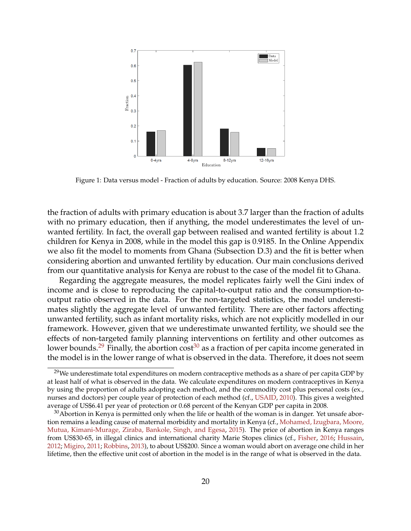<span id="page-19-3"></span><span id="page-19-0"></span>

Figure 1: Data versus model - Fraction of adults by education. Source: 2008 Kenya DHS.

the fraction of adults with primary education is about 3.7 larger than the fraction of adults with no primary education, then if anything, the model underestimates the level of unwanted fertility. In fact, the overall gap between realised and wanted fertility is about 1.2 children for Kenya in 2008, while in the model this gap is 0.9185. In the Online Appendix we also fit the model to moments from Ghana (Subsection D.3) and the fit is better when considering abortion and unwanted fertility by education. Our main conclusions derived from our quantitative analysis for Kenya are robust to the case of the model fit to Ghana.

Regarding the aggregate measures, the model replicates fairly well the Gini index of income and is close to reproducing the capital-to-output ratio and the consumption-tooutput ratio observed in the data. For the non-targeted statistics, the model underestimates slightly the aggregate level of unwanted fertility. There are other factors affecting unwanted fertility, such as infant mortality risks, which are not explicitly modelled in our framework. However, given that we underestimate unwanted fertility, we should see the effects of non-targeted family planning interventions on fertility and other outcomes as lower bounds.<sup>[29](#page-19-1)</sup> Finally, the abortion cost<sup>[30](#page-19-2)</sup> as a fraction of per capita income generated in the model is in the lower range of what is observed in the data. Therefore, it does not seem

<span id="page-19-1"></span><sup>&</sup>lt;sup>29</sup>We underestimate total expenditures on modern contraceptive methods as a share of per capita GDP by at least half of what is observed in the data. We calculate expenditures on modern contraceptives in Kenya by using the proportion of adults adopting each method, and the commodity cost plus personal costs (ex., nurses and doctors) per couple year of protection of each method (cf., [USAID,](#page-39-8) [2010\)](#page-39-8). This gives a weighted average of US\$6.41 per year of protection or 0.68 percent of the Kenyan GDP per capita in 2008.

<span id="page-19-2"></span> $30$ Abortion in Kenya is permitted only when the life or health of the woman is in danger. Yet unsafe abortion remains a leading cause of maternal morbidity and mortality in Kenya (cf., [Mohamed, Izugbara, Moore,](#page-39-9) [Mutua, Kimani-Murage, Ziraba, Bankole, Singh, and Egesa,](#page-39-9) [2015\)](#page-39-9). The price of abortion in Kenya ranges from US\$30-65, in illegal clinics and international charity Marie Stopes clinics (cf., [Fisher,](#page-37-12) [2016;](#page-37-12) [Hussain,](#page-38-8) [2012;](#page-38-8) [Migiro,](#page-38-9) [2011;](#page-38-9) [Robbins,](#page-39-10) [2013\)](#page-39-10), to about US\$200. Since a woman would abort on average one child in her lifetime, then the effective unit cost of abortion in the model is in the range of what is observed in the data.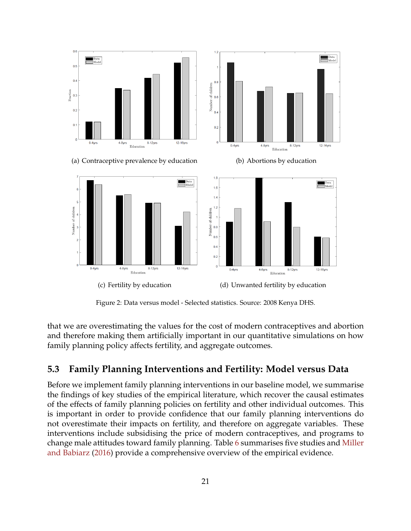<span id="page-20-5"></span><span id="page-20-1"></span>

<span id="page-20-3"></span>

<span id="page-20-4"></span><span id="page-20-2"></span>Figure 2: Data versus model - Selected statistics. Source: 2008 Kenya DHS.

that we are overestimating the values for the cost of modern contraceptives and abortion and therefore making them artificially important in our quantitative simulations on how family planning policy affects fertility, and aggregate outcomes.

### <span id="page-20-0"></span>**5.3 Family Planning Interventions and Fertility: Model versus Data**

Before we implement family planning interventions in our baseline model, we summarise the findings of key studies of the empirical literature, which recover the causal estimates of the effects of family planning policies on fertility and other individual outcomes. This is important in order to provide confidence that our family planning interventions do not overestimate their impacts on fertility, and therefore on aggregate variables. These interventions include subsidising the price of modern contraceptives, and programs to change male attitudes toward family planning. Table [6](#page-21-0) summarises five studies and [Miller](#page-39-11) [and Babiarz](#page-39-11) [\(2016\)](#page-39-11) provide a comprehensive overview of the empirical evidence.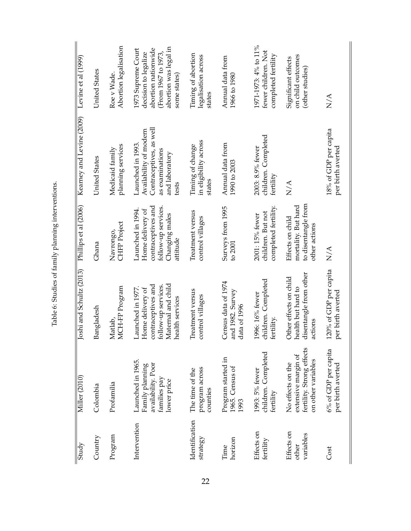| Study                            | Miller (2010)                                                                               | oshi and Schultz (2013)                                                                                                     | Phillips et al (2006)                                                                                            | Kearney and Levine (2009)                                                                                           | Levine et al (1999)                                                                                                               |
|----------------------------------|---------------------------------------------------------------------------------------------|-----------------------------------------------------------------------------------------------------------------------------|------------------------------------------------------------------------------------------------------------------|---------------------------------------------------------------------------------------------------------------------|-----------------------------------------------------------------------------------------------------------------------------------|
| Country                          | Colombia                                                                                    | Bangladesh                                                                                                                  | Ghana                                                                                                            | United States                                                                                                       | <b>United States</b>                                                                                                              |
| Program                          | Profamilia                                                                                  | MCH-FP Program<br>Matlab                                                                                                    | <b>CHFP</b> Project<br>Navrongo,                                                                                 | planning services<br>Medicaid family                                                                                | Abortion legalisation<br>Roe v Wade.                                                                                              |
| Intervention                     | Launched in 1965.<br>availability. Poor<br>Family planning<br>families pay<br>lower price   | Maternal and child<br>contraceptives and<br>follow-up services.<br>Launched in 1977.<br>Home delivery of<br>health services | contraceptives and<br>follow-up services.<br>Launched in 1994.<br>Home delivery of<br>Changing males<br>attitude | Contraceptives, as well<br>Availability of modern<br>Launched in 1993<br>as examinations<br>and laboratory<br>tests | abortion was legal in<br>1973 Supreme Court<br>abortion nationwide<br>decision to legalize<br>(From 1967 to 1973,<br>some states) |
| Identification<br>strategy       | program across<br>The time of the<br>counties                                               | Treatment versus<br>control villages                                                                                        | Treatment versus<br>control villages                                                                             | in eligibility across<br>Timing of change<br>states                                                                 | Timing of abortion<br>legalisation across<br>states                                                                               |
| horizon<br>Time                  | Program started in<br>1965. Census of<br>1993                                               | Census data of 1974<br>and 1982. Survey<br>data of 1996                                                                     | Surveys from 1995<br>to 200                                                                                      | Annual data from<br>1990 to 2003                                                                                    | Annual data from<br>1966 to 1980                                                                                                  |
| Effects on<br>fertility          | children. Completed<br>1993: 5% fewer<br>fertility                                          | children. Completed<br>1996: 16% fewer<br>fertility.                                                                        | completed fertility.<br>children. But not<br>2001: 15% fewer                                                     | children. Completed<br>2003: 8.9% fewer<br>fertility                                                                | 1971-1973: 4% to 11%<br>fewer children. Not<br>completed fertility                                                                |
| Effects on<br>variables<br>other | fertility. Strong effects<br>extensive margin of<br>on other variables<br>No effects on the | disentangle from other<br>Other effects on child<br>health but hard to<br>actions                                           | to disentangle from<br>mortality. But hard<br>Effects on child<br>other actions                                  | N/A                                                                                                                 | on child outcomes<br>Significant effects<br>(other studies)                                                                       |
| Cost                             | 6% of GDP per capita<br>per birth averted                                                   | 120% of GDP per capita<br>per birth averted                                                                                 | N/A                                                                                                              | 18% of GDP per capita<br>per birth averted                                                                          | N/A                                                                                                                               |

<span id="page-21-0"></span>Table 6: Studies of family planning interventions. Table 6: Studies of family planning interventions.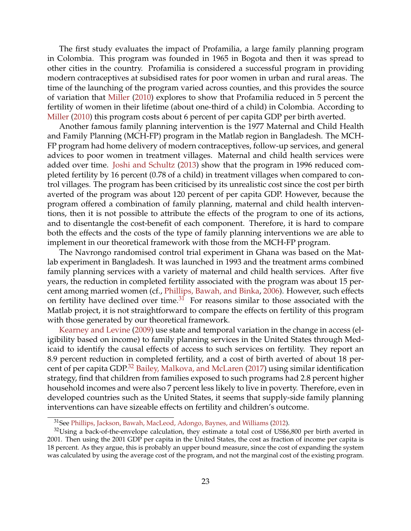<span id="page-22-2"></span>The first study evaluates the impact of Profamilia, a large family planning program in Colombia. This program was founded in 1965 in Bogota and then it was spread to other cities in the country. Profamilia is considered a successful program in providing modern contraceptives at subsidised rates for poor women in urban and rural areas. The time of the launching of the program varied across counties, and this provides the source of variation that [Miller](#page-38-4) [\(2010\)](#page-38-4) explores to show that Profamilia reduced in 5 percent the fertility of women in their lifetime (about one-third of a child) in Colombia. According to [Miller](#page-38-4) [\(2010\)](#page-38-4) this program costs about 6 percent of per capita GDP per birth averted.

Another famous family planning intervention is the 1977 Maternal and Child Health and Family Planning (MCH-FP) program in the Matlab region in Bangladesh. The MCH-FP program had home delivery of modern contraceptives, follow-up services, and general advices to poor women in treatment villages. Maternal and child health services were added over time. [Joshi and Schultz](#page-38-10) [\(2013\)](#page-38-10) show that the program in 1996 reduced completed fertility by 16 percent (0.78 of a child) in treatment villages when compared to control villages. The program has been criticised by its unrealistic cost since the cost per birth averted of the program was about 120 percent of per capita GDP. However, because the program offered a combination of family planning, maternal and child health interventions, then it is not possible to attribute the effects of the program to one of its actions, and to disentangle the cost-benefit of each component. Therefore, it is hard to compare both the effects and the costs of the type of family planning interventions we are able to implement in our theoretical framework with those from the MCH-FP program.

The Navrongo randomised control trial experiment in Ghana was based on the Matlab experiment in Bangladesh. It was launched in 1993 and the treatment arms combined family planning services with a variety of maternal and child health services. After five years, the reduction in completed fertility associated with the program was about 15 percent among married women (cf., [Phillips, Bawah, and Binka,](#page-39-12) [2006\)](#page-39-12). However, such effects on fertility have declined over time. $3\hat{1}$  For reasons similar to those associated with the Matlab project, it is not straightforward to compare the effects on fertility of this program with those generated by our theoretical framework.

[Kearney and Levine](#page-38-11) [\(2009\)](#page-38-11) use state and temporal variation in the change in access (eligibility based on income) to family planning services in the United States through Medicaid to identify the causal effects of access to such services on fertility. They report an 8.9 percent reduction in completed fertility, and a cost of birth averted of about 18 percent of per capita GDP.[32](#page-22-1) [Bailey, Malkova, and McLaren](#page-36-5) [\(2017\)](#page-36-5) using similar identification strategy, find that children from families exposed to such programs had 2.8 percent higher household incomes and were also 7 percent less likely to live in poverty. Therefore, even in developed countries such as the United States, it seems that supply-side family planning interventions can have sizeable effects on fertility and children's outcome.

<span id="page-22-1"></span><span id="page-22-0"></span><sup>&</sup>lt;sup>31</sup>See [Phillips, Jackson, Bawah, MacLeod, Adongo, Baynes, and Williams](#page-39-13) [\(2012\)](#page-39-13).

 $32$ Using a back-of-the-envelope calculation, they estimate a total cost of US\$6,800 per birth averted in 2001. Then using the 2001 GDP per capita in the United States, the cost as fraction of income per capita is 18 percent. As they argue, this is probably an upper bound measure, since the cost of expanding the system was calculated by using the average cost of the program, and not the marginal cost of the existing program.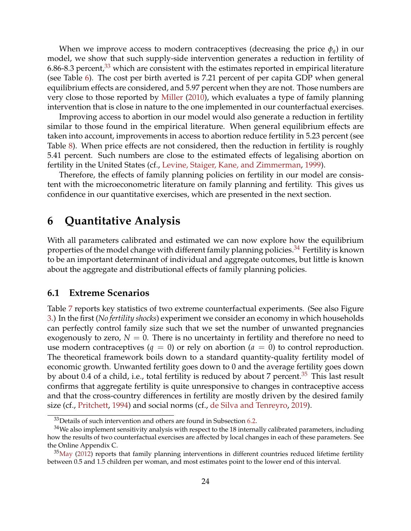<span id="page-23-4"></span>When we improve access to modern contraceptives (decreasing the price *φq*) in our model, we show that such supply-side intervention generates a reduction in fertility of 6.86-8.3 percent,<sup>[33](#page-23-1)</sup> which are consistent with the estimates reported in empirical literature (see Table [6\)](#page-21-0). The cost per birth averted is 7.21 percent of per capita GDP when general equilibrium effects are considered, and 5.97 percent when they are not. Those numbers are very close to those reported by [Miller](#page-38-4) [\(2010\)](#page-38-4), which evaluates a type of family planning intervention that is close in nature to the one implemented in our counterfactual exercises.

Improving access to abortion in our model would also generate a reduction in fertility similar to those found in the empirical literature. When general equilibrium effects are taken into account, improvements in access to abortion reduce fertility in 5.23 percent (see Table [8\)](#page-28-0). When price effects are not considered, then the reduction in fertility is roughly 5.41 percent. Such numbers are close to the estimated effects of legalising abortion on fertility in the United States (cf., [Levine, Staiger, Kane, and Zimmerman,](#page-38-12) [1999\)](#page-38-12).

Therefore, the effects of family planning policies on fertility in our model are consistent with the microeconometric literature on family planning and fertility. This gives us confidence in our quantitative exercises, which are presented in the next section.

# <span id="page-23-0"></span>**6 Quantitative Analysis**

With all parameters calibrated and estimated we can now explore how the equilibrium properties of the model change with different family planning policies.<sup>[34](#page-23-2)</sup> Fertility is known to be an important determinant of individual and aggregate outcomes, but little is known about the aggregate and distributional effects of family planning policies.

#### **6.1 Extreme Scenarios**

Table [7](#page-25-0) reports key statistics of two extreme counterfactual experiments. (See also Figure [3.](#page-26-0)) In the first (*No fertility shocks*) experiment we consider an economy in which households can perfectly control family size such that we set the number of unwanted pregnancies exogenously to zero,  $N = 0$ . There is no uncertainty in fertility and therefore no need to use modern contraceptives  $(q = 0)$  or rely on abortion  $(a = 0)$  to control reproduction. The theoretical framework boils down to a standard quantity-quality fertility model of economic growth. Unwanted fertility goes down to 0 and the average fertility goes down by about 0.4 of a child, i.e., total fertility is reduced by about 7 percent.<sup>[35](#page-23-3)</sup> This last result confirms that aggregate fertility is quite unresponsive to changes in contraceptive access and that the cross-country differences in fertility are mostly driven by the desired family size (cf., [Pritchett,](#page-39-4) [1994\)](#page-39-4) and social norms (cf., [de Silva and Tenreyro,](#page-37-7) [2019\)](#page-37-7).

<span id="page-23-2"></span><span id="page-23-1"></span> $33$  Details of such intervention and others are found in Subsection [6.2.](#page-26-1)

 $34$ We also implement sensitivity analysis with respect to the 18 internally calibrated parameters, including how the results of two counterfactual exercises are affected by local changes in each of these parameters. See the Online Appendix C.

<span id="page-23-3"></span> $35$ [May](#page-38-13) [\(2012\)](#page-38-13) reports that family planning interventions in different countries reduced lifetime fertility between 0.5 and 1.5 children per woman, and most estimates point to the lower end of this interval.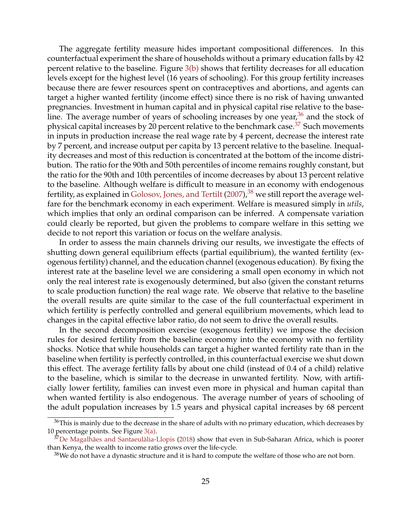<span id="page-24-3"></span>The aggregate fertility measure hides important compositional differences. In this counterfactual experiment the share of households without a primary education falls by 42 percent relative to the baseline. Figure  $3(b)$  shows that fertility decreases for all education levels except for the highest level (16 years of schooling). For this group fertility increases because there are fewer resources spent on contraceptives and abortions, and agents can target a higher wanted fertility (income effect) since there is no risk of having unwanted pregnancies. Investment in human capital and in physical capital rise relative to the baseline. The average number of years of schooling increases by one year,  $36$  and the stock of physical capital increases by 20 percent relative to the benchmark case.<sup>[37](#page-24-1)</sup> Such movements in inputs in production increase the real wage rate by 4 percent, decrease the interest rate by 7 percent, and increase output per capita by 13 percent relative to the baseline. Inequality decreases and most of this reduction is concentrated at the bottom of the income distribution. The ratio for the 90th and 50th percentiles of income remains roughly constant, but the ratio for the 90th and 10th percentiles of income decreases by about 13 percent relative to the baseline. Although welfare is difficult to measure in an economy with endogenous fertility, as explained in [Golosov, Jones, and Tertilt](#page-38-14)  $(2007)$ , <sup>[38](#page-24-2)</sup> we still report the average welfare for the benchmark economy in each experiment. Welfare is measured simply in *utils*, which implies that only an ordinal comparison can be inferred. A compensate variation could clearly be reported, but given the problems to compare welfare in this setting we decide to not report this variation or focus on the welfare analysis.

In order to assess the main channels driving our results, we investigate the effects of shutting down general equilibrium effects (partial equilibrium), the wanted fertility (exogenous fertility) channel, and the education channel (exogenous education). By fixing the interest rate at the baseline level we are considering a small open economy in which not only the real interest rate is exogenously determined, but also (given the constant returns to scale production function) the real wage rate. We observe that relative to the baseline the overall results are quite similar to the case of the full counterfactual experiment in which fertility is perfectly controlled and general equilibrium movements, which lead to changes in the capital effective labor ratio, do not seem to drive the overall results.

In the second decomposition exercise (exogenous fertility) we impose the decision rules for desired fertility from the baseline economy into the economy with no fertility shocks. Notice that while households can target a higher wanted fertility rate than in the baseline when fertility is perfectly controlled, in this counterfactual exercise we shut down this effect. The average fertility falls by about one child (instead of 0.4 of a child) relative to the baseline, which is similar to the decrease in unwanted fertility. Now, with artificially lower fertility, families can invest even more in physical and human capital than when wanted fertility is also endogenous. The average number of years of schooling of the adult population increases by 1.5 years and physical capital increases by 68 percent

<span id="page-24-0"></span> $36$ This is mainly due to the decrease in the share of adults with no primary education, which decreases by 10 percentage points. See Figure  $3(a)$ .

<span id="page-24-1"></span><sup>&</sup>lt;sup>37</sup>[De Magalhães and Santaeulàlia-Llopis](#page-37-13) [\(2018\)](#page-37-13) show that even in Sub-Saharan Africa, which is poorer than Kenya, the wealth to income ratio grows over the life-cycle.

<span id="page-24-2"></span> $38$ We do not have a dynastic structure and it is hard to compute the welfare of those who are not born.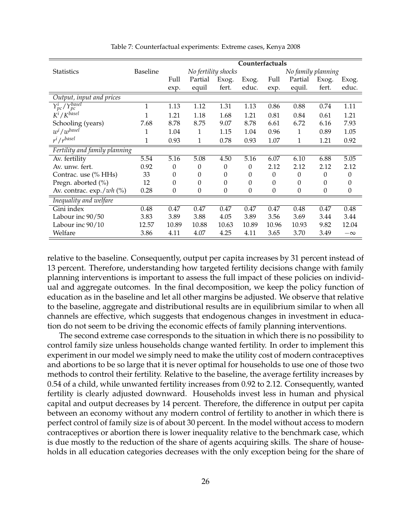<span id="page-25-0"></span>

|                                      |                 |          |                     |       | Counterfactuals |                  |                    |                  |                  |
|--------------------------------------|-----------------|----------|---------------------|-------|-----------------|------------------|--------------------|------------------|------------------|
| <b>Statistics</b>                    | <b>Baseline</b> |          | No fertility shocks |       |                 |                  | No family planning |                  |                  |
|                                      |                 | Full     | Partial             | Exog. | Exog.           | Full             | Partial            | Exog.            | Exog.            |
|                                      |                 | exp.     | equil               | fert. | educ.           | exp.             | equil.             | fert.            | educ.            |
| Output, input and prices             |                 |          |                     |       |                 |                  |                    |                  |                  |
| $Y_{pc}^i$ / $Y_{nc}^{basel}$        | 1               | 1.13     | 1.12                | 1.31  | 1.13            | 0.86             | 0.88               | 0.74             | 1.11             |
| $K^i$ / $K^{basel}$                  | 1               | 1.21     | 1.18                | 1.68  | 1.21            | 0.81             | 0.84               | 0.61             | 1.21             |
| Schooling (years)                    | 7.68            | 8.78     | 8.75                | 9.07  | 8.78            | 6.61             | 6.72               | 6.16             | 7.93             |
| $w^{i}/w^{base}$                     | 1               | 1.04     | 1                   | 1.15  | 1.04            | 0.96             | 1                  | 0.89             | 1.05             |
| $r^{i}/r^{basel}$                    | 1               | 0.93     | 1                   | 0.78  | 0.93            | 1.07             | 1                  | 1.21             | 0.92             |
| Fertility and family planning        |                 |          |                     |       |                 |                  |                    |                  |                  |
| Av. fertility                        | 5.54            | 5.16     | 5.08                | 4.50  | 5.16            | 6.07             | 6.10               | 6.88             | 5.05             |
| Av. unw. fert.                       | 0.92            | $\theta$ | 0                   | 0     | 0               | 2.12             | 2.12               | 2.12             | 2.12             |
| Contrac. use (% HHs)                 | 33              | 0        | 0                   | 0     | 0               | 0                | $\theta$           | $\Omega$         | $\Omega$         |
| Pregn. aborted (%)                   | 12              | $\theta$ | 0                   | 0     | 0               | 0                | 0                  | 0                | 0                |
| Av. contrac. $\exp$ ./ <i>wh</i> (%) | 0.28            | $\theta$ | $\boldsymbol{0}$    | 0     | 0               | $\boldsymbol{0}$ | $\boldsymbol{0}$   | $\boldsymbol{0}$ | $\boldsymbol{0}$ |
| Inequality and welfare               |                 |          |                     |       |                 |                  |                    |                  |                  |
| Gini index                           | 0.48            | 0.47     | 0.47                | 0.47  | 0.47            | 0.47             | 0.48               | 0.47             | 0.48             |
| Labour inc 90/50                     | 3.83            | 3.89     | 3.88                | 4.05  | 3.89            | 3.56             | 3.69               | 3.44             | 3.44             |
| Labour inc 90/10                     | 12.57           | 10.89    | 10.88               | 10.63 | 10.89           | 10.96            | 10.93              | 9.82             | 12.04            |
| Welfare                              | 3.86            | 4.11     | 4.07                | 4.25  | 4.11            | 3.65             | 3.70               | 3.49             | $-\infty$        |

Table 7: Counterfactual experiments: Extreme cases, Kenya 2008

relative to the baseline. Consequently, output per capita increases by 31 percent instead of 13 percent. Therefore, understanding how targeted fertility decisions change with family planning interventions is important to assess the full impact of these policies on individual and aggregate outcomes. In the final decomposition, we keep the policy function of education as in the baseline and let all other margins be adjusted. We observe that relative to the baseline, aggregate and distributional results are in equilibrium similar to when all channels are effective, which suggests that endogenous changes in investment in education do not seem to be driving the economic effects of family planning interventions.

The second extreme case corresponds to the situation in which there is no possibility to control family size unless households change wanted fertility. In order to implement this experiment in our model we simply need to make the utility cost of modern contraceptives and abortions to be so large that it is never optimal for households to use one of those two methods to control their fertility. Relative to the baseline, the average fertility increases by 0.54 of a child, while unwanted fertility increases from 0.92 to 2.12. Consequently, wanted fertility is clearly adjusted downward. Households invest less in human and physical capital and output decreases by 14 percent. Therefore, the difference in output per capita between an economy without any modern control of fertility to another in which there is perfect control of family size is of about 30 percent. In the model without access to modern contraceptives or abortion there is lower inequality relative to the benchmark case, which is due mostly to the reduction of the share of agents acquiring skills. The share of households in all education categories decreases with the only exception being for the share of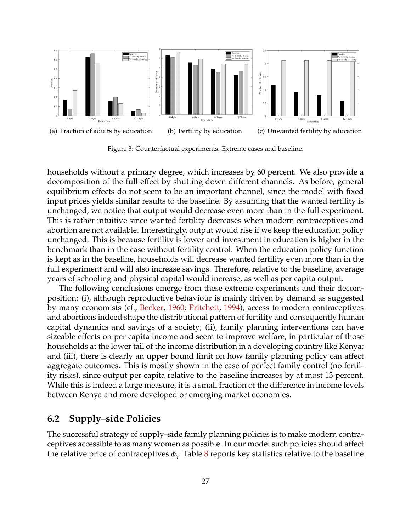<span id="page-26-4"></span><span id="page-26-3"></span><span id="page-26-0"></span>

<span id="page-26-2"></span>Figure 3: Counterfactual experiments: Extreme cases and baseline.

households without a primary degree, which increases by 60 percent. We also provide a decomposition of the full effect by shutting down different channels. As before, general equilibrium effects do not seem to be an important channel, since the model with fixed input prices yields similar results to the baseline. By assuming that the wanted fertility is unchanged, we notice that output would decrease even more than in the full experiment. This is rather intuitive since wanted fertility decreases when modern contraceptives and abortion are not available. Interestingly, output would rise if we keep the education policy unchanged. This is because fertility is lower and investment in education is higher in the benchmark than in the case without fertility control. When the education policy function is kept as in the baseline, households will decrease wanted fertility even more than in the full experiment and will also increase savings. Therefore, relative to the baseline, average years of schooling and physical capital would increase, as well as per capita output.

The following conclusions emerge from these extreme experiments and their decomposition: (i), although reproductive behaviour is mainly driven by demand as suggested by many economists (cf., [Becker,](#page-37-0) [1960;](#page-37-0) [Pritchett,](#page-39-4) [1994\)](#page-39-4), access to modern contraceptives and abortions indeed shape the distributional pattern of fertility and consequently human capital dynamics and savings of a society; (ii), family planning interventions can have sizeable effects on per capita income and seem to improve welfare, in particular of those households at the lower tail of the income distribution in a developing country like Kenya; and (iii), there is clearly an upper bound limit on how family planning policy can affect aggregate outcomes. This is mostly shown in the case of perfect family control (no fertility risks), since output per capita relative to the baseline increases by at most 13 percent. While this is indeed a large measure, it is a small fraction of the difference in income levels between Kenya and more developed or emerging market economies.

#### <span id="page-26-1"></span>**6.2 Supply–side Policies**

The successful strategy of supply–side family planning policies is to make modern contraceptives accessible to as many women as possible. In our model such policies should affect the relative price of contraceptives  $\phi_q$ . Table [8](#page-28-0) reports key statistics relative to the baseline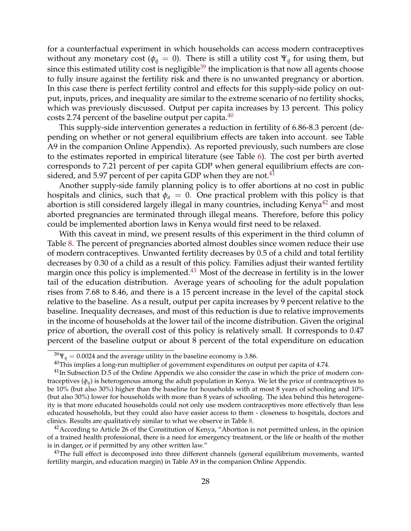for a counterfactual experiment in which households can access modern contraceptives without any monetary cost ( $\phi_q = 0$ ). There is still a utility cost  $\Psi_q$  for using them, but since this estimated utility cost is negligible<sup>[39](#page-27-0)</sup> the implication is that now all agents choose to fully insure against the fertility risk and there is no unwanted pregnancy or abortion. In this case there is perfect fertility control and effects for this supply-side policy on output, inputs, prices, and inequality are similar to the extreme scenario of no fertility shocks, which was previously discussed. Output per capita increases by 13 percent. This policy costs 2.74 percent of the baseline output per capita. $40$ 

This supply-side intervention generates a reduction in fertility of 6.86-8.3 percent (depending on whether or not general equilibrium effects are taken into account. see Table A9 in the companion Online Appendix). As reported previously, such numbers are close to the estimates reported in empirical literature (see Table [6\)](#page-21-0). The cost per birth averted corresponds to 7.21 percent of per capita GDP when general equilibrium effects are con-sidered, and 5.97 percent of per capita GDP when they are not.<sup>[41](#page-27-2)</sup>

Another supply-side family planning policy is to offer abortions at no cost in public hospitals and clinics, such that  $\phi_a = 0$ . One practical problem with this policy is that abortion is still considered largely illegal in many countries, including Kenya $42$  and most aborted pregnancies are terminated through illegal means. Therefore, before this policy could be implemented abortion laws in Kenya would first need to be relaxed.

With this caveat in mind, we present results of this experiment in the third column of Table [8.](#page-28-0) The percent of pregnancies aborted almost doubles since women reduce their use of modern contraceptives. Unwanted fertility decreases by 0.5 of a child and total fertility decreases by 0.30 of a child as a result of this policy. Families adjust their wanted fertility margin once this policy is implemented. $43$  Most of the decrease in fertility is in the lower tail of the education distribution. Average years of schooling for the adult population rises from 7.68 to 8.46, and there is a 15 percent increase in the level of the capital stock relative to the baseline. As a result, output per capita increases by 9 percent relative to the baseline. Inequality decreases, and most of this reduction is due to relative improvements in the income of households at the lower tail of the income distribution. Given the original price of abortion, the overall cost of this policy is relatively small. It corresponds to 0.47 percent of the baseline output or about 8 percent of the total expenditure on education

<span id="page-27-0"></span> $39\Psi_q = 0.0024$  and the average utility in the baseline economy is 3.86.

<span id="page-27-2"></span><span id="page-27-1"></span> $40$ This implies a long-run multiplier of government expenditures on output per capita of 4.74.

 $<sup>41</sup>$ In Subsection D.5 of the Online Appendix we also consider the case in which the price of modern con-</sup> traceptives ( $\phi_q$ ) is heterogenous among the adult population in Kenya. We let the price of contraceptives to be 10% (but also 30%) higher than the baseline for households with at most 8 years of schooling and 10% (but also 30%) lower for households with more than 8 years of schooling. The idea behind this heterogeneity is that more educated households could not only use modern contraceptives more effectively than less educated households, but they could also have easier access to them - closeness to hospitals, doctors and clinics. Results are qualitatively similar to what we observe in Table [8.](#page-28-0)

<span id="page-27-3"></span> $42$ According to Article 26 of the Constitution of Kenya, "Abortion is not permitted unless, in the opinion of a trained health professional, there is a need for emergency treatment, or the life or health of the mother is in danger, or if permitted by any other written law."

<span id="page-27-4"></span> $43$ The full effect is decomposed into three different channels (general equilibrium movements, wanted fertility margin, and education margin) in Table A9 in the companion Online Appendix.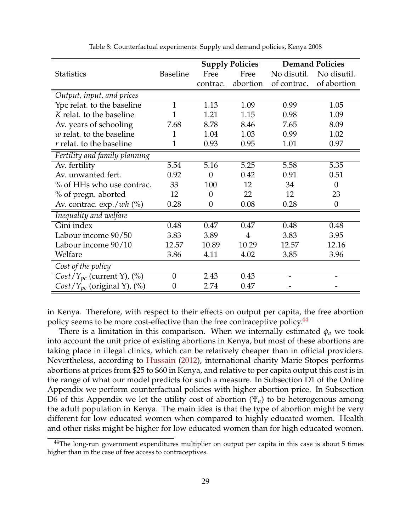<span id="page-28-2"></span><span id="page-28-0"></span>

|                                      |                 |          | <b>Supply Policies</b> |             | <b>Demand Policies</b> |
|--------------------------------------|-----------------|----------|------------------------|-------------|------------------------|
| <b>Statistics</b>                    | <b>Baseline</b> | Free     | Free                   | No disutil. | No disutil.            |
|                                      |                 | contrac. | abortion               | of contrac. | of abortion            |
| Output, input, and prices            |                 |          |                        |             |                        |
| Ypc relat. to the baseline           | 1               | 1.13     | 1.09                   | 0.99        | 1.05                   |
| K relat. to the baseline             |                 | 1.21     | 1.15                   | 0.98        | 1.09                   |
| Av. years of schooling               | 7.68            | 8.78     | 8.46                   | 7.65        | 8.09                   |
| $w$ relat. to the baseline           | 1               | 1.04     | 1.03                   | 0.99        | 1.02                   |
| $r$ relat. to the baseline           | 1               | 0.93     | 0.95                   | 1.01        | 0.97                   |
| Fertility and family planning        |                 |          |                        |             |                        |
| Av. fertility                        | 5.54            | 5.16     | 5.25                   | 5.58        | 5.35                   |
| Av. unwanted fert.                   | 0.92            | $\theta$ | 0.42                   | 0.91        | 0.51                   |
| % of HHs who use contrac.            | 33              | 100      | 12                     | 34          | $\theta$               |
| % of pregn. aborted                  | 12              | $\theta$ | 22                     | 12          | 23                     |
| Av. contrac. $\exp$ ./ <i>wh</i> (%) | 0.28            | $\theta$ | 0.08                   | 0.28        | $\theta$               |
| Inequality and welfare               |                 |          |                        |             |                        |
| Gini index                           | 0.48            | 0.47     | 0.47                   | 0.48        | 0.48                   |
| Labour income 90/50                  | 3.83            | 3.89     | $\overline{4}$         | 3.83        | 3.95                   |
| Labour income 90/10                  | 12.57           | 10.89    | 10.29                  | 12.57       | 12.16                  |
| Welfare                              | 3.86            | 4.11     | 4.02                   | 3.85        | 3.96                   |
| Cost of the policy                   |                 |          |                        |             |                        |
| $Cost/Y_{pc}$ (current Y), $(\%)$    | $\overline{0}$  | 2.43     | 0.43                   |             |                        |
| $Cost/Y_{pc}$ (original Y), $(\%)$   | $\theta$        | 2.74     | 0.47                   |             |                        |

Table 8: Counterfactual experiments: Supply and demand policies, Kenya 2008

in Kenya. Therefore, with respect to their effects on output per capita, the free abortion policy seems to be more cost-effective than the free contraceptive policy.<sup>[44](#page-28-1)</sup>

There is a limitation in this comparison. When we internally estimated  $\phi_a$  we took into account the unit price of existing abortions in Kenya, but most of these abortions are taking place in illegal clinics, which can be relatively cheaper than in official providers. Nevertheless, according to [Hussain](#page-38-8) [\(2012\)](#page-38-8), international charity Marie Stopes performs abortions at prices from \$25 to \$60 in Kenya, and relative to per capita output this cost is in the range of what our model predicts for such a measure. In Subsection D1 of the Online Appendix we perform counterfactual policies with higher abortion price. In Subsection D6 of this Appendix we let the utility cost of abortion (Ψ*a*) to be heterogenous among the adult population in Kenya. The main idea is that the type of abortion might be very different for low educated women when compared to highly educated women. Health and other risks might be higher for low educated women than for high educated women.

<span id="page-28-1"></span><sup>&</sup>lt;sup>44</sup>The long-run government expenditures multiplier on output per capita in this case is about 5 times higher than in the case of free access to contraceptives.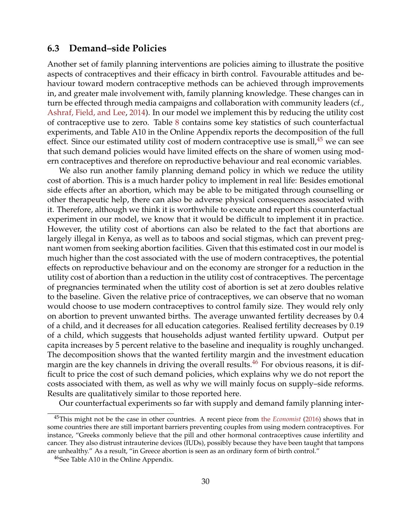### <span id="page-29-2"></span>**6.3 Demand–side Policies**

Another set of family planning interventions are policies aiming to illustrate the positive aspects of contraceptives and their efficacy in birth control. Favourable attitudes and behaviour toward modern contraceptive methods can be achieved through improvements in, and greater male involvement with, family planning knowledge. These changes can in turn be effected through media campaigns and collaboration with community leaders (cf., [Ashraf, Field, and Lee,](#page-36-1) [2014\)](#page-36-1). In our model we implement this by reducing the utility cost of contraceptive use to zero. Table [8](#page-28-0) contains some key statistics of such counterfactual experiments, and Table A10 in the Online Appendix reports the decomposition of the full effect. Since our estimated utility cost of modern contraceptive use is small, $45$  we can see that such demand policies would have limited effects on the share of women using modern contraceptives and therefore on reproductive behaviour and real economic variables.

We also run another family planning demand policy in which we reduce the utility cost of abortion. This is a much harder policy to implement in real life: Besides emotional side effects after an abortion, which may be able to be mitigated through counselling or other therapeutic help, there can also be adverse physical consequences associated with it. Therefore, although we think it is worthwhile to execute and report this counterfactual experiment in our model, we know that it would be difficult to implement it in practice. However, the utility cost of abortions can also be related to the fact that abortions are largely illegal in Kenya, as well as to taboos and social stigmas, which can prevent pregnant women from seeking abortion facilities. Given that this estimated cost in our model is much higher than the cost associated with the use of modern contraceptives, the potential effects on reproductive behaviour and on the economy are stronger for a reduction in the utility cost of abortion than a reduction in the utility cost of contraceptives. The percentage of pregnancies terminated when the utility cost of abortion is set at zero doubles relative to the baseline. Given the relative price of contraceptives, we can observe that no woman would choose to use modern contraceptives to control family size. They would rely only on abortion to prevent unwanted births. The average unwanted fertility decreases by 0.4 of a child, and it decreases for all education categories. Realised fertility decreases by 0.19 of a child, which suggests that households adjust wanted fertility upward. Output per capita increases by 5 percent relative to the baseline and inequality is roughly unchanged. The decomposition shows that the wanted fertility margin and the investment education margin are the key channels in driving the overall results.<sup>[46](#page-29-1)</sup> For obvious reasons, it is difficult to price the cost of such demand policies, which explains why we do not report the costs associated with them, as well as why we will mainly focus on supply–side reforms. Results are qualitatively similar to those reported here.

Our counterfactual experiments so far with supply and demand family planning inter-

<span id="page-29-0"></span><sup>45</sup>This might not be the case in other countries. A recent piece from the *[Economist](#page-39-14)* [\(2016\)](#page-39-14) shows that in some countries there are still important barriers preventing couples from using modern contraceptives. For instance, "Greeks commonly believe that the pill and other hormonal contraceptives cause infertility and cancer. They also distrust intrauterine devices (IUDs), possibly because they have been taught that tampons are unhealthy." As a result, "in Greece abortion is seen as an ordinary form of birth control."

<span id="page-29-1"></span><sup>46</sup>See Table A10 in the Online Appendix.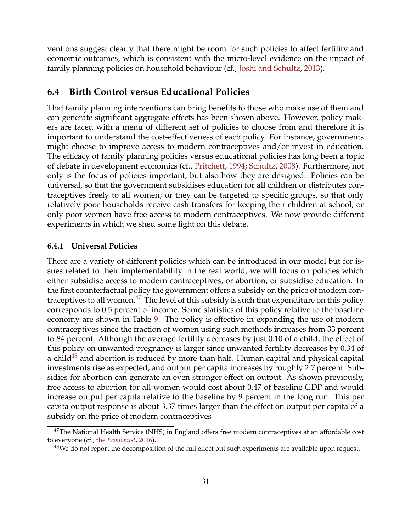<span id="page-30-2"></span>ventions suggest clearly that there might be room for such policies to affect fertility and economic outcomes, which is consistent with the micro-level evidence on the impact of family planning policies on household behaviour (cf., [Joshi and Schultz,](#page-38-10) [2013\)](#page-38-10).

### **6.4 Birth Control versus Educational Policies**

That family planning interventions can bring benefits to those who make use of them and can generate significant aggregate effects has been shown above. However, policy makers are faced with a menu of different set of policies to choose from and therefore it is important to understand the cost-effectiveness of each policy. For instance, governments might choose to improve access to modern contraceptives and/or invest in education. The efficacy of family planning policies versus educational policies has long been a topic of debate in development economics (cf., [Pritchett,](#page-39-4) [1994;](#page-39-4) [Schultz,](#page-39-15) [2008\)](#page-39-15). Furthermore, not only is the focus of policies important, but also how they are designed. Policies can be universal, so that the government subsidises education for all children or distributes contraceptives freely to all women; or they can be targeted to specific groups, so that only relatively poor households receive cash transfers for keeping their children at school, or only poor women have free access to modern contraceptives. We now provide different experiments in which we shed some light on this debate.

#### **6.4.1 Universal Policies**

There are a variety of different policies which can be introduced in our model but for issues related to their implementability in the real world, we will focus on policies which either subsidise access to modern contraceptives, or abortion, or subsidise education. In the first counterfactual policy the government offers a subsidy on the price of modern contraceptives to all women. $^{47}$  $^{47}$  $^{47}$  The level of this subsidy is such that expenditure on this policy corresponds to 0.5 percent of income. Some statistics of this policy relative to the baseline economy are shown in Table [9.](#page-31-0) The policy is effective in expanding the use of modern contraceptives since the fraction of women using such methods increases from 33 percent to 84 percent. Although the average fertility decreases by just 0.10 of a child, the effect of this policy on unwanted pregnancy is larger since unwanted fertility decreases by 0.34 of a child $48$  and abortion is reduced by more than half. Human capital and physical capital investments rise as expected, and output per capita increases by roughly 2.7 percent. Subsidies for abortion can generate an even stronger effect on output. As shown previously, free access to abortion for all women would cost about 0.47 of baseline GDP and would increase output per capita relative to the baseline by 9 percent in the long run. This per capita output response is about 3.37 times larger than the effect on output per capita of a subsidy on the price of modern contraceptives

<span id="page-30-0"></span> $47$ The National Health Service (NHS) in England offers free modern contraceptives at an affordable cost to everyone (cf., the *[Economist](#page-39-14)*, [2016\)](#page-39-14).

<span id="page-30-1"></span><sup>&</sup>lt;sup>48</sup>We do not report the decomposition of the full effect but such experiments are available upon request.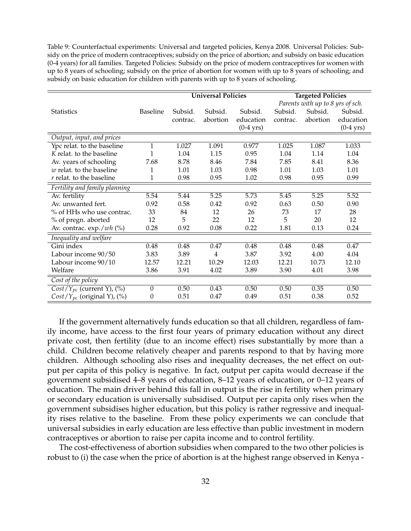<span id="page-31-0"></span>Table 9: Counterfactual experiments: Universal and targeted policies, Kenya 2008. Universal Policies: Subsidy on the price of modern contraceptives; subsidy on the price of abortion; and subsidy on basic education (0-4 years) for all families. Targeted Policies: Subsidy on the price of modern contraceptives for women with up to 8 years of schooling; subsidy on the price of abortion for women with up to 8 years of schooling; and subsidy on basic education for children with parents with up to 8 years of schooling.

|                                                   |                  | <b>Universal Policies</b> |                | <b>Targeted Policies</b> |          |                                  |             |
|---------------------------------------------------|------------------|---------------------------|----------------|--------------------------|----------|----------------------------------|-------------|
|                                                   |                  |                           |                |                          |          | Parents with up to 8 yrs of sch. |             |
| <b>Statistics</b>                                 | <b>Baseline</b>  | Subsid.                   | Subsid.        | Subsid.                  | Subsid.  | Subsid.                          | Subsid.     |
|                                                   |                  | contrac.                  | abortion       | education                | contrac. | abortion                         | education   |
|                                                   |                  |                           |                | $(0-4$ yrs)              |          |                                  | $(0-4$ yrs) |
| Output, input, and prices                         |                  |                           |                |                          |          |                                  |             |
| Ypc relat. to the baseline                        | $\mathbf{1}$     | 1.027                     | 1.091          | 0.977                    | 1.025    | 1.087                            | 1.033       |
| K relat. to the baseline                          | 1                | 1.04                      | 1.15           | 0.95                     | 1.04     | 1.14                             | 1.04        |
| Av. years of schooling                            | 7.68             | 8.78                      | 8.46           | 7.84                     | 7.85     | 8.41                             | 8.36        |
| $w$ relat. to the baseline                        | 1                | 1.01                      | 1.03           | 0.98                     | 1.01     | 1.03                             | 1.01        |
| $r$ relat. to the baseline                        | 1                | 0.98                      | 0.95           | 1.02                     | 0.98     | 0.95                             | 0.99        |
| Fertility and family planning                     |                  |                           |                |                          |          |                                  |             |
| Av. fertility                                     | 5.54             | 5.44                      | 5.25           | 5.73                     | 5.45     | 5.25                             | 5.52        |
| Av. unwanted fert.                                | 0.92             | 0.58                      | 0.42           | 0.92                     | 0.63     | 0.50                             | 0.90        |
| % of HHs who use contrac.                         | 33               | 84                        | 12             | 26                       | 73       | 17                               | 28          |
| % of pregn. aborted                               | 12               | 5                         | 22             | 12                       | 5        | 20                               | 12          |
| Av. contrac. exp./wh (%)                          | 0.28             | 0.92                      | 0.08           | 0.22                     | 1.81     | 0.13                             | 0.24        |
| Inequality and welfare                            |                  |                           |                |                          |          |                                  |             |
| Gini index                                        | 0.48             | 0.48                      | 0.47           | 0.48                     | 0.48     | 0.48                             | 0.47        |
| Labour income 90/50                               | 3.83             | 3.89                      | $\overline{4}$ | 3.87                     | 3.92     | 4.00                             | 4.04        |
| Labour income 90/10                               | 12.57            | 12.21                     | 10.29          | 12.03                    | 12.21    | 10.73                            | 12.10       |
| Welfare                                           | 3.86             | 3.91                      | 4.02           | 3.89                     | 3.90     | 4.01                             | 3.98        |
| Cost of the policy                                |                  |                           |                |                          |          |                                  |             |
| $Cost/Y_{pc}$ (current Y), $(^{\circ}\!\!\delta)$ | $\boldsymbol{0}$ | 0.50                      | 0.43           | 0.50                     | 0.50     | 0.35                             | 0.50        |
| $Cost/Y_{pc}$ (original Y), (%)                   | 0                | 0.51                      | 0.47           | 0.49                     | 0.51     | 0.38                             | 0.52        |

If the government alternatively funds education so that all children, regardless of family income, have access to the first four years of primary education without any direct private cost, then fertility (due to an income effect) rises substantially by more than a child. Children become relatively cheaper and parents respond to that by having more children. Although schooling also rises and inequality decreases, the net effect on output per capita of this policy is negative. In fact, output per capita would decrease if the government subsidised 4–8 years of education, 8–12 years of education, or 0–12 years of education. The main driver behind this fall in output is the rise in fertility when primary or secondary education is universally subsidised. Output per capita only rises when the government subsidises higher education, but this policy is rather regressive and inequality rises relative to the baseline. From these policy experiments we can conclude that universal subsidies in early education are less effective than public investment in modern contraceptives or abortion to raise per capita income and to control fertility.

The cost-effectiveness of abortion subsidies when compared to the two other policies is robust to (i) the case when the price of abortion is at the highest range observed in Kenya -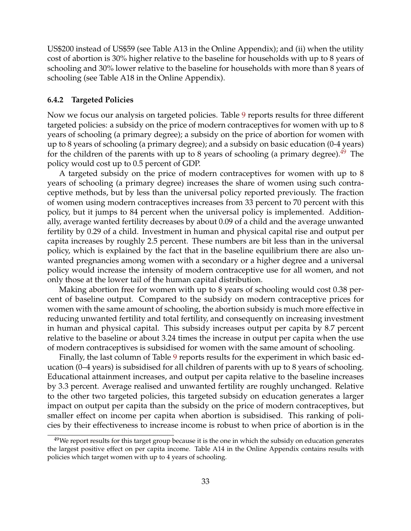US\$200 instead of US\$59 (see Table A13 in the Online Appendix); and (ii) when the utility cost of abortion is 30% higher relative to the baseline for households with up to 8 years of schooling and 30% lower relative to the baseline for households with more than 8 years of schooling (see Table A18 in the Online Appendix).

#### **6.4.2 Targeted Policies**

Now we focus our analysis on targeted policies. Table [9](#page-31-0) reports results for three different targeted policies: a subsidy on the price of modern contraceptives for women with up to 8 years of schooling (a primary degree); a subsidy on the price of abortion for women with up to 8 years of schooling (a primary degree); and a subsidy on basic education (0-4 years) for the children of the parents with up to 8 years of schooling (a primary degree). $49$  The policy would cost up to 0.5 percent of GDP.

A targeted subsidy on the price of modern contraceptives for women with up to 8 years of schooling (a primary degree) increases the share of women using such contraceptive methods, but by less than the universal policy reported previously. The fraction of women using modern contraceptives increases from 33 percent to 70 percent with this policy, but it jumps to 84 percent when the universal policy is implemented. Additionally, average wanted fertility decreases by about 0.09 of a child and the average unwanted fertility by 0.29 of a child. Investment in human and physical capital rise and output per capita increases by roughly 2.5 percent. These numbers are bit less than in the universal policy, which is explained by the fact that in the baseline equilibrium there are also unwanted pregnancies among women with a secondary or a higher degree and a universal policy would increase the intensity of modern contraceptive use for all women, and not only those at the lower tail of the human capital distribution.

Making abortion free for women with up to 8 years of schooling would cost 0.38 percent of baseline output. Compared to the subsidy on modern contraceptive prices for women with the same amount of schooling, the abortion subsidy is much more effective in reducing unwanted fertility and total fertility, and consequently on increasing investment in human and physical capital. This subsidy increases output per capita by 8.7 percent relative to the baseline or about 3.24 times the increase in output per capita when the use of modern contraceptives is subsidised for women with the same amount of schooling.

Finally, the last column of Table [9](#page-31-0) reports results for the experiment in which basic education (0–4 years) is subsidised for all children of parents with up to 8 years of schooling. Educational attainment increases, and output per capita relative to the baseline increases by 3.3 percent. Average realised and unwanted fertility are roughly unchanged. Relative to the other two targeted policies, this targeted subsidy on education generates a larger impact on output per capita than the subsidy on the price of modern contraceptives, but smaller effect on income per capita when abortion is subsidised. This ranking of policies by their effectiveness to increase income is robust to when price of abortion is in the

<span id="page-32-0"></span><sup>&</sup>lt;sup>49</sup>We report results for this target group because it is the one in which the subsidy on education generates the largest positive effect on per capita income. Table A14 in the Online Appendix contains results with policies which target women with up to 4 years of schooling.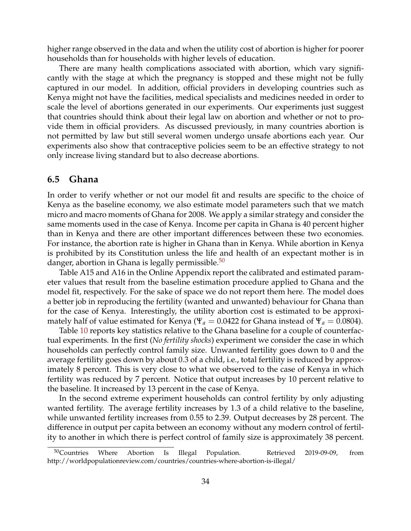higher range observed in the data and when the utility cost of abortion is higher for poorer households than for households with higher levels of education.

There are many health complications associated with abortion, which vary significantly with the stage at which the pregnancy is stopped and these might not be fully captured in our model. In addition, official providers in developing countries such as Kenya might not have the facilities, medical specialists and medicines needed in order to scale the level of abortions generated in our experiments. Our experiments just suggest that countries should think about their legal law on abortion and whether or not to provide them in official providers. As discussed previously, in many countries abortion is not permitted by law but still several women undergo unsafe abortions each year. Our experiments also show that contraceptive policies seem to be an effective strategy to not only increase living standard but to also decrease abortions.

#### **6.5 Ghana**

In order to verify whether or not our model fit and results are specific to the choice of Kenya as the baseline economy, we also estimate model parameters such that we match micro and macro moments of Ghana for 2008. We apply a similar strategy and consider the same moments used in the case of Kenya. Income per capita in Ghana is 40 percent higher than in Kenya and there are other important differences between these two economies. For instance, the abortion rate is higher in Ghana than in Kenya. While abortion in Kenya is prohibited by its Constitution unless the life and health of an expectant mother is in danger, abortion in Ghana is legally permissible.<sup>[50](#page-33-0)</sup>

Table A15 and A16 in the Online Appendix report the calibrated and estimated parameter values that result from the baseline estimation procedure applied to Ghana and the model fit, respectively. For the sake of space we do not report them here. The model does a better job in reproducing the fertility (wanted and unwanted) behaviour for Ghana than for the case of Kenya. Interestingly, the utility abortion cost is estimated to be approximately half of value estimated for Kenya ( $\Psi_a = 0.0422$  for Ghana instead of  $\Psi_a = 0.0804$ ).

Table [10](#page-34-0) reports key statistics relative to the Ghana baseline for a couple of counterfactual experiments. In the first (*No fertility shocks*) experiment we consider the case in which households can perfectly control family size. Unwanted fertility goes down to 0 and the average fertility goes down by about 0.3 of a child, i.e., total fertility is reduced by approximately 8 percent. This is very close to what we observed to the case of Kenya in which fertility was reduced by 7 percent. Notice that output increases by 10 percent relative to the baseline. It increased by 13 percent in the case of Kenya.

In the second extreme experiment households can control fertility by only adjusting wanted fertility. The average fertility increases by 1.3 of a child relative to the baseline, while unwanted fertility increases from 0.55 to 2.39. Output decreases by 28 percent. The difference in output per capita between an economy without any modern control of fertility to another in which there is perfect control of family size is approximately 38 percent.

<span id="page-33-0"></span><sup>50</sup>Countries Where Abortion Is Illegal Population. Retrieved 2019-09-09, from http://worldpopulationreview.com/countries/countries-where-abortion-is-illegal/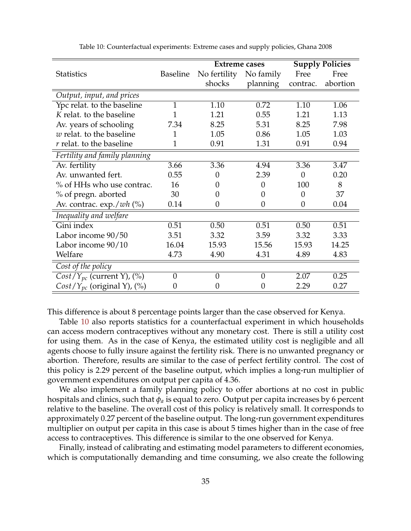<span id="page-34-0"></span>

|                                      |                 | <b>Extreme cases</b> |                |          | <b>Supply Policies</b> |
|--------------------------------------|-----------------|----------------------|----------------|----------|------------------------|
| <b>Statistics</b>                    | <b>Baseline</b> | No fertility         | No family      | Free     | Free                   |
|                                      |                 | shocks               | planning       | contrac. | abortion               |
| Output, input, and prices            |                 |                      |                |          |                        |
| Ypc relat. to the baseline           | 1               | 1.10                 | 0.72           | 1.10     | 1.06                   |
| K relat. to the baseline             |                 | 1.21                 | 0.55           | 1.21     | 1.13                   |
| Av. years of schooling               | 7.34            | 8.25                 | 5.31           | 8.25     | 7.98                   |
| $w$ relat. to the baseline           | 1               | 1.05                 | 0.86           | 1.05     | 1.03                   |
| $r$ relat. to the baseline           | $\mathbf{1}$    | 0.91                 | 1.31           | 0.91     | 0.94                   |
| Fertility and family planning        |                 |                      |                |          |                        |
| Av. fertility                        | 3.66            | 3.36                 | 4.94           | 3.36     | 3.47                   |
| Av. unwanted fert.                   | 0.55            | $\boldsymbol{0}$     | 2.39           | $\theta$ | 0.20                   |
| % of HHs who use contrac.            | 16              | 0                    | $\overline{0}$ | 100      | 8                      |
| % of pregn. aborted                  | 30              | $\overline{0}$       | 0              | $\theta$ | 37                     |
| Av. contrac. $\exp$ ./ <i>wh</i> (%) | 0.14            | $\boldsymbol{0}$     | $\theta$       | $\theta$ | 0.04                   |
| Inequality and welfare               |                 |                      |                |          |                        |
| Gini index                           | 0.51            | 0.50                 | 0.51           | 0.50     | 0.51                   |
| Labor income 90/50                   | 3.51            | 3.32                 | 3.59           | 3.32     | 3.33                   |
| Labor income 90/10                   | 16.04           | 15.93                | 15.56          | 15.93    | 14.25                  |
| Welfare                              | 4.73            | 4.90                 | 4.31           | 4.89     | 4.83                   |
| Cost of the policy                   |                 |                      |                |          |                        |
| $Cost/Y_{pc}$ (current Y), $(\%)$    | $\overline{0}$  | $\boldsymbol{0}$     | $\overline{0}$ | 2.07     | 0.25                   |
| $Cost/Y_{pc}$ (original Y), $(\%)$   | 0               | $\boldsymbol{0}$     | $\theta$       | 2.29     | 0.27                   |

Table 10: Counterfactual experiments: Extreme cases and supply policies, Ghana 2008

This difference is about 8 percentage points larger than the case observed for Kenya.

Table [10](#page-34-0) also reports statistics for a counterfactual experiment in which households can access modern contraceptives without any monetary cost. There is still a utility cost for using them. As in the case of Kenya, the estimated utility cost is negligible and all agents choose to fully insure against the fertility risk. There is no unwanted pregnancy or abortion. Therefore, results are similar to the case of perfect fertility control. The cost of this policy is 2.29 percent of the baseline output, which implies a long-run multiplier of government expenditures on output per capita of 4.36.

We also implement a family planning policy to offer abortions at no cost in public hospitals and clinics, such that *φ<sup>a</sup>* is equal to zero. Output per capita increases by 6 percent relative to the baseline. The overall cost of this policy is relatively small. It corresponds to approximately 0.27 percent of the baseline output. The long-run government expenditures multiplier on output per capita in this case is about 5 times higher than in the case of free access to contraceptives. This difference is similar to the one observed for Kenya.

Finally, instead of calibrating and estimating model parameters to different economies, which is computationally demanding and time consuming, we also create the following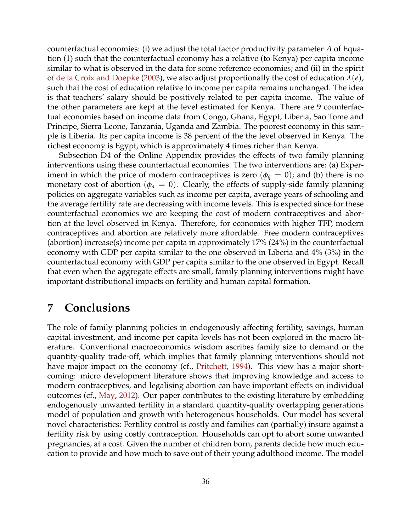<span id="page-35-1"></span>counterfactual economies: (i) we adjust the total factor productivity parameter *A* of Equation (1) such that the counterfactual economy has a relative (to Kenya) per capita income similar to what is observed in the data for some reference economies; and (ii) in the spirit of [de la Croix and Doepke](#page-37-3) [\(2003\)](#page-37-3), we also adjust proportionally the cost of education *λ*(*e*), such that the cost of education relative to income per capita remains unchanged. The idea is that teachers' salary should be positively related to per capita income. The value of the other parameters are kept at the level estimated for Kenya. There are 9 counterfactual economies based on income data from Congo, Ghana, Egypt, Liberia, Sao Tome and Principe, Sierra Leone, Tanzania, Uganda and Zambia. The poorest economy in this sample is Liberia. Its per capita income is 38 percent of the the level observed in Kenya. The richest economy is Egypt, which is approximately 4 times richer than Kenya.

Subsection D4 of the Online Appendix provides the effects of two family planning interventions using these counterfactual economies. The two interventions are: (a) Experiment in which the price of modern contraceptives is zero ( $\phi_q = 0$ ); and (b) there is no monetary cost of abortion ( $\phi_a = 0$ ). Clearly, the effects of supply-side family planning policies on aggregate variables such as income per capita, average years of schooling and the average fertility rate are decreasing with income levels. This is expected since for these counterfactual economies we are keeping the cost of modern contraceptives and abortion at the level observed in Kenya. Therefore, for economies with higher TFP, modern contraceptives and abortion are relatively more affordable. Free modern contraceptives (abortion) increase(s) income per capita in approximately 17% (24%) in the counterfactual economy with GDP per capita similar to the one observed in Liberia and 4% (3%) in the counterfactual economy with GDP per capita similar to the one observed in Egypt. Recall that even when the aggregate effects are small, family planning interventions might have important distributional impacts on fertility and human capital formation.

# <span id="page-35-0"></span>**7 Conclusions**

The role of family planning policies in endogenously affecting fertility, savings, human capital investment, and income per capita levels has not been explored in the macro literature. Conventional macroeconomics wisdom ascribes family size to demand or the quantity-quality trade-off, which implies that family planning interventions should not have major impact on the economy (cf., [Pritchett,](#page-39-4) [1994\)](#page-39-4). This view has a major shortcoming: micro development literature shows that improving knowledge and access to modern contraceptives, and legalising abortion can have important effects on individual outcomes (cf., [May,](#page-38-13) [2012\)](#page-38-13). Our paper contributes to the existing literature by embedding endogenously unwanted fertility in a standard quantity-quality overlapping generations model of population and growth with heterogenous households. Our model has several novel characteristics: Fertility control is costly and families can (partially) insure against a fertility risk by using costly contraception. Households can opt to abort some unwanted pregnancies, at a cost. Given the number of children born, parents decide how much education to provide and how much to save out of their young adulthood income. The model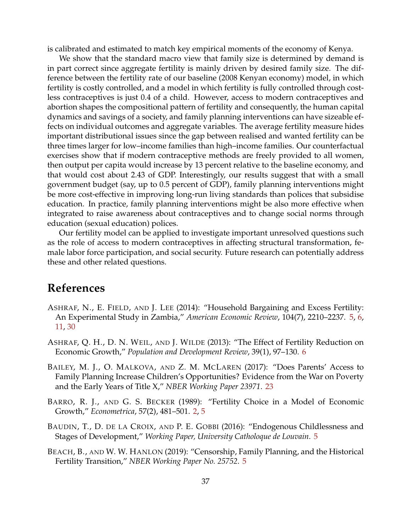is calibrated and estimated to match key empirical moments of the economy of Kenya.

We show that the standard macro view that family size is determined by demand is in part correct since aggregate fertility is mainly driven by desired family size. The difference between the fertility rate of our baseline (2008 Kenyan economy) model, in which fertility is costly controlled, and a model in which fertility is fully controlled through costless contraceptives is just 0.4 of a child. However, access to modern contraceptives and abortion shapes the compositional pattern of fertility and consequently, the human capital dynamics and savings of a society, and family planning interventions can have sizeable effects on individual outcomes and aggregate variables. The average fertility measure hides important distributional issues since the gap between realised and wanted fertility can be three times larger for low–income families than high–income families. Our counterfactual exercises show that if modern contraceptive methods are freely provided to all women, then output per capita would increase by 13 percent relative to the baseline economy, and that would cost about 2.43 of GDP. Interestingly, our results suggest that with a small government budget (say, up to 0.5 percent of GDP), family planning interventions might be more cost-effective in improving long-run living standards than polices that subsidise education. In practice, family planning interventions might be also more effective when integrated to raise awareness about contraceptives and to change social norms through education (sexual education) polices.

Our fertility model can be applied to investigate important unresolved questions such as the role of access to modern contraceptives in affecting structural transformation, female labor force participation, and social security. Future research can potentially address these and other related questions.

# **References**

- <span id="page-36-1"></span>ASHRAF, N., E. FIELD, AND J. LEE (2014): "Household Bargaining and Excess Fertility: An Experimental Study in Zambia," *American Economic Review*, 104(7), 2210–2237. [5,](#page-4-4) [6,](#page-5-4) [11,](#page-10-5) [30](#page-29-2)
- <span id="page-36-4"></span>ASHRAF, Q. H., D. N. WEIL, AND J. WILDE (2013): "The Effect of Fertility Reduction on Economic Growth," *Population and Development Review*, 39(1), 97–130. [6](#page-5-4)
- <span id="page-36-5"></span>BAILEY, M. J., O. MALKOVA, AND Z. M. MCLAREN (2017): "Does Parents' Access to Family Planning Increase Children's Opportunities? Evidence from the War on Poverty and the Early Years of Title X," *NBER Working Paper 23971*. [23](#page-22-2)
- <span id="page-36-0"></span>BARRO, R. J., AND G. S. BECKER (1989): "Fertility Choice in a Model of Economic Growth," *Econometrica*, 57(2), 481–501. [2,](#page-1-3) [5](#page-4-4)
- <span id="page-36-2"></span>BAUDIN, T., D. DE LA CROIX, AND P. E. GOBBI (2016): "Endogenous Childlessness and Stages of Development," *Working Paper, University Catholoque de Louvain*. [5](#page-4-4)
- <span id="page-36-3"></span>BEACH, B., AND W. W. HANLON (2019): "Censorship, Family Planning, and the Historical Fertility Transition," *NBER Working Paper No. 25752*. [5](#page-4-4)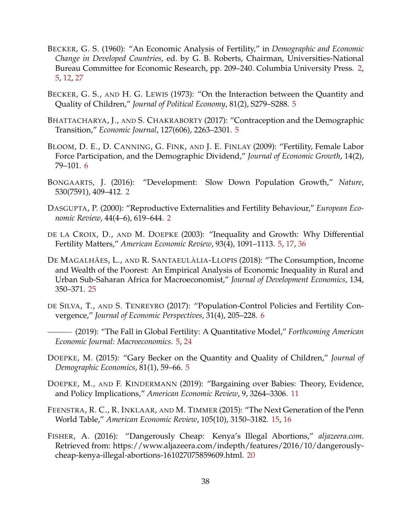- <span id="page-37-0"></span>BECKER, G. S. (1960): "An Economic Analysis of Fertility," in *Demographic and Economic Change in Developed Countries*, ed. by G. B. Roberts, Chairman, Universities-National Bureau Committee for Economic Research, pp. 209–240. Columbia University Press. [2,](#page-1-3) [5,](#page-4-4) [12,](#page-11-2) [27](#page-26-4)
- <span id="page-37-5"></span>BECKER, G. S., AND H. G. LEWIS (1973): "On the Interaction between the Quantity and Quality of Children," *Journal of Political Economy*, 81(2), S279–S288. [5](#page-4-4)
- <span id="page-37-6"></span>BHATTACHARYA, J., AND S. CHAKRABORTY (2017): "Contraception and the Demographic Transition," *Economic Journal*, 127(606), 2263–2301. [5](#page-4-4)
- <span id="page-37-8"></span>BLOOM, D. E., D. CANNING, G. FINK, AND J. E. FINLAY (2009): "Fertility, Female Labor Force Participation, and the Demographic Dividend," *Journal of Economic Growth*, 14(2), 79–101. [6](#page-5-4)
- <span id="page-37-1"></span>BONGAARTS, J. (2016): "Development: Slow Down Population Growth," *Nature*, 530(7591), 409–412. [2](#page-1-3)
- <span id="page-37-2"></span>DASGUPTA, P. (2000): "Reproductive Externalities and Fertility Behaviour," *European Economic Review*, 44(4–6), 619–644. [2](#page-1-3)
- <span id="page-37-3"></span>DE LA CROIX, D., AND M. DOEPKE (2003): "Inequality and Growth: Why Differential Fertility Matters," *American Economic Review*, 93(4), 1091–1113. [5,](#page-4-4) [17,](#page-16-1) [36](#page-35-1)
- <span id="page-37-13"></span>DE MAGALHÃES, L., AND R. SANTAEULÀLIA-LLOPIS (2018): "The Consumption, Income and Wealth of the Poorest: An Empirical Analysis of Economic Inequality in Rural and Urban Sub-Saharan Africa for Macroeconomist," *Journal of Development Economics*, 134, 350–371. [25](#page-24-3)
- <span id="page-37-9"></span><span id="page-37-7"></span>DE SILVA, T., AND S. TENREYRO (2017): "Population-Control Policies and Fertility Convergence," *Journal of Economic Perspectives*, 31(4), 205–228. [6](#page-5-4)
	- (2019): "The Fall in Global Fertility: A Quantitative Model," *Forthcoming American Economic Journal: Macroeconomics*. [5,](#page-4-4) [24](#page-23-4)
- <span id="page-37-4"></span>DOEPKE, M. (2015): "Gary Becker on the Quantity and Quality of Children," *Journal of Demographic Economics*, 81(1), 59–66. [5](#page-4-4)
- <span id="page-37-10"></span>DOEPKE, M., AND F. KINDERMANN (2019): "Bargaining over Babies: Theory, Evidence, and Policy Implications," *American Economic Review*, 9, 3264–3306. [11](#page-10-5)
- <span id="page-37-11"></span>FEENSTRA, R. C., R. INKLAAR, AND M. TIMMER (2015): "The Next Generation of the Penn World Table," *American Economic Review*, 105(10), 3150–3182. [15,](#page-14-1) [16](#page-15-2)
- <span id="page-37-12"></span>FISHER, A. (2016): "Dangerously Cheap: Kenya's Illegal Abortions," *aljazeera.com*. Retrieved from: https://www.aljazeera.com/indepth/features/2016/10/dangerouslycheap-kenya-illegal-abortions-161027075859609.html. [20](#page-19-3)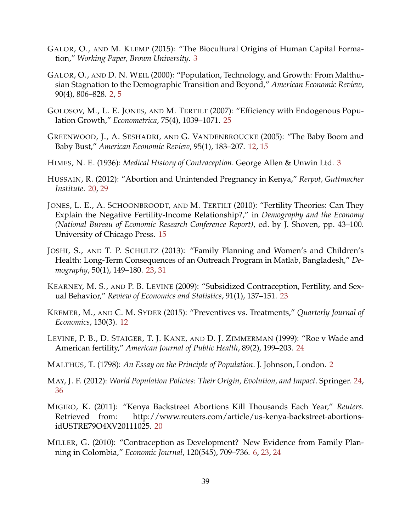- <span id="page-38-3"></span>GALOR, O., AND M. KLEMP (2015): "The Biocultural Origins of Human Capital Formation," *Working Paper, Brown University*. [3](#page-2-3)
- <span id="page-38-1"></span>GALOR, O., AND D. N. WEIL (2000): "Population, Technology, and Growth: From Malthusian Stagnation to the Demographic Transition and Beyond," *American Economic Review*, 90(4), 806–828. [2,](#page-1-3) [5](#page-4-4)
- <span id="page-38-14"></span>GOLOSOV, M., L. E. JONES, AND M. TERTILT (2007): "Efficiency with Endogenous Population Growth," *Econometrica*, 75(4), 1039–1071. [25](#page-24-3)
- <span id="page-38-6"></span>GREENWOOD, J., A. SESHADRI, AND G. VANDENBROUCKE (2005): "The Baby Boom and Baby Bust," *American Economic Review*, 95(1), 183–207. [12,](#page-11-2) [15](#page-14-1)
- <span id="page-38-2"></span>HIMES, N. E. (1936): *Medical History of Contraception*. George Allen & Unwin Ltd. [3](#page-2-3)
- <span id="page-38-8"></span>HUSSAIN, R. (2012): "Abortion and Unintended Pregnancy in Kenya," *Rerpot, Guttmacher Institute*. [20,](#page-19-3) [29](#page-28-2)
- <span id="page-38-7"></span>JONES, L. E., A. SCHOONBROODT, AND M. TERTILT (2010): "Fertility Theories: Can They Explain the Negative Fertility-Income Relationship?," in *Demography and the Economy (National Bureau of Economic Research Conference Report)*, ed. by J. Shoven, pp. 43–100. University of Chicago Press. [15](#page-14-1)
- <span id="page-38-10"></span>JOSHI, S., AND T. P. SCHULTZ (2013): "Family Planning and Women's and Children's Health: Long-Term Consequences of an Outreach Program in Matlab, Bangladesh," *Demography*, 50(1), 149–180. [23,](#page-22-2) [31](#page-30-2)
- <span id="page-38-11"></span>KEARNEY, M. S., AND P. B. LEVINE (2009): "Subsidized Contraception, Fertility, and Sexual Behavior," *Review of Economics and Statistics*, 91(1), 137–151. [23](#page-22-2)
- <span id="page-38-5"></span>KREMER, M., AND C. M. SYDER (2015): "Preventives vs. Treatments," *Quarterly Journal of Economics*, 130(3). [12](#page-11-2)
- <span id="page-38-12"></span>LEVINE, P. B., D. STAIGER, T. J. KANE, AND D. J. ZIMMERMAN (1999): "Roe v Wade and American fertility," *American Journal of Public Health*, 89(2), 199–203. [24](#page-23-4)
- <span id="page-38-0"></span>MALTHUS, T. (1798): *An Essay on the Principle of Population*. J. Johnson, London. [2](#page-1-3)
- <span id="page-38-13"></span>MAY, J. F. (2012): *World Population Policies: Their Origin, Evolution, and Impact*. Springer. [24,](#page-23-4) [36](#page-35-1)
- <span id="page-38-9"></span>MIGIRO, K. (2011): "Kenya Backstreet Abortions Kill Thousands Each Year," *Reuters*. Retrieved from: http://www.reuters.com/article/us-kenya-backstreet-abortionsidUSTRE79O4XV20111025. [20](#page-19-3)
- <span id="page-38-4"></span>MILLER, G. (2010): "Contraception as Development? New Evidence from Family Planning in Colombia," *Economic Journal*, 120(545), 709–736. [6,](#page-5-4) [23,](#page-22-2) [24](#page-23-4)